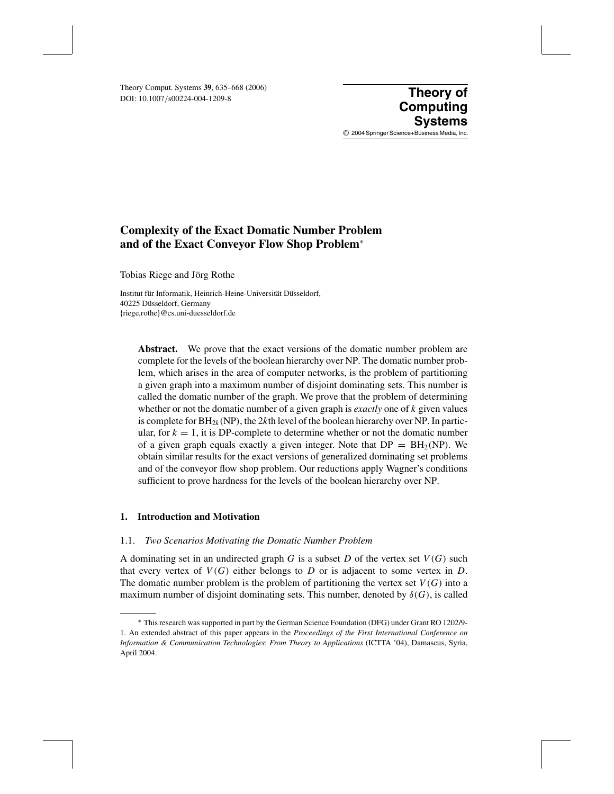DOI: 10.1007/s00224-004-1209-8 Theory Comput. Systems **<sup>39</sup>**, 635–668 (2006) **Theory of**

**Computing Systems** © 2004 Springer Science+Business Media, Inc.

# **Complexity of the Exact Domatic Number Problem and of the Exact Conveyor Flow Shop Problem**<sup>∗</sup>

Tobias Riege and Jörg Rothe

Institut für Informatik, Heinrich-Heine-Universität Düsseldorf, 40225 Düsseldorf, Germany {riege,rothe}@cs.uni-duesseldorf.de

**Abstract.** We prove that the exact versions of the domatic number problem are complete for the levels of the boolean hierarchy over NP. The domatic number problem, which arises in the area of computer networks, is the problem of partitioning a given graph into a maximum number of disjoint dominating sets. This number is called the domatic number of the graph. We prove that the problem of determining whether or not the domatic number of a given graph is *exactly* one of *k* given values is complete for  $BH_{2k}(NP)$ , the 2*k*th level of the boolean hierarchy over NP. In particular, for  $k = 1$ , it is DP-complete to determine whether or not the domatic number of a given graph equals exactly a given integer. Note that  $DP = BH_2(NP)$ . We obtain similar results for the exact versions of generalized dominating set problems and of the conveyor flow shop problem. Our reductions apply Wagner's conditions sufficient to prove hardness for the levels of the boolean hierarchy over NP.

# **1. Introduction and Motivation**

### 1.1. *Two Scenarios Motivating the Domatic Number Problem*

A dominating set in an undirected graph  $G$  is a subset  $D$  of the vertex set  $V(G)$  such that every vertex of  $V(G)$  either belongs to D or is adjacent to some vertex in D. The domatic number problem is the problem of partitioning the vertex set  $V(G)$  into a maximum number of disjoint dominating sets. This number, denoted by  $\delta(G)$ , is called

<sup>∗</sup> This research was supported in part by the German Science Foundation (DFG) under Grant RO 1202/9- 1. An extended abstract of this paper appears in the *Proceedings of the First International Conference on Information & Communication Technologies*: *From Theory to Applications* (ICTTA '04), Damascus, Syria, April 2004.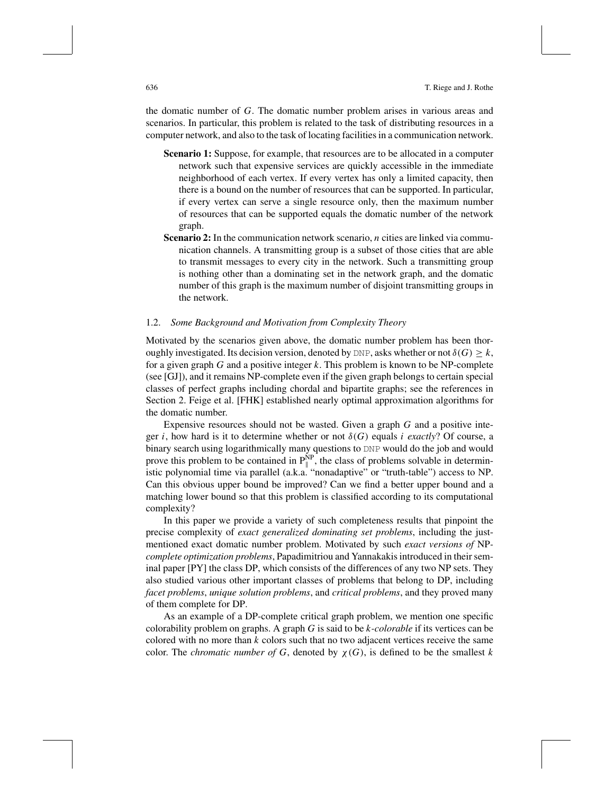the domatic number of *G*. The domatic number problem arises in various areas and scenarios. In particular, this problem is related to the task of distributing resources in a computer network, and also to the task of locating facilities in a communication network.

- **Scenario 1:** Suppose, for example, that resources are to be allocated in a computer network such that expensive services are quickly accessible in the immediate neighborhood of each vertex. If every vertex has only a limited capacity, then there is a bound on the number of resources that can be supported. In particular, if every vertex can serve a single resource only, then the maximum number of resources that can be supported equals the domatic number of the network graph.
- **Scenario 2:** In the communication network scenario, *n* cities are linked via communication channels. A transmitting group is a subset of those cities that are able to transmit messages to every city in the network. Such a transmitting group is nothing other than a dominating set in the network graph, and the domatic number of this graph is the maximum number of disjoint transmitting groups in the network.

### 1.2. *Some Background and Motivation from Complexity Theory*

Motivated by the scenarios given above, the domatic number problem has been thoroughly investigated. Its decision version, denoted by DNP, asks whether or not  $\delta(G) \geq k$ , for a given graph *G* and a positive integer *k*. This problem is known to be NP-complete (see [GJ]), and it remains NP-complete even if the given graph belongs to certain special classes of perfect graphs including chordal and bipartite graphs; see the references in Section 2. Feige et al. [FHK] established nearly optimal approximation algorithms for the domatic number.

Expensive resources should not be wasted. Given a graph *G* and a positive integer *i*, how hard is it to determine whether or not  $\delta(G)$  equals *i exactly*? Of course, a binary search using logarithmically many questions to DNP would do the job and would prove this problem to be contained in  $P_{\parallel}^{NP}$ , the class of problems solvable in deterministic polynomial time via parallel (a.k.a. "nonadaptive" or "truth-table") access to NP. Can this obvious upper bound be improved? Can we find a better upper bound and a matching lower bound so that this problem is classified according to its computational complexity?

In this paper we provide a variety of such completeness results that pinpoint the precise complexity of *exact generalized dominating set problems*, including the justmentioned exact domatic number problem. Motivated by such *exact versions of* NP*complete optimization problems*, Papadimitriou and Yannakakis introduced in their seminal paper [PY] the class DP, which consists of the differences of any two NP sets. They also studied various other important classes of problems that belong to DP, including *facet problems*, *unique solution problems*, and *critical problems*, and they proved many of them complete for DP.

As an example of a DP-complete critical graph problem, we mention one specific colorability problem on graphs. A graph *G* is said to be *k-colorable* if its vertices can be colored with no more than *k* colors such that no two adjacent vertices receive the same color. The *chromatic number of G*, denoted by  $\chi(G)$ , is defined to be the smallest *k*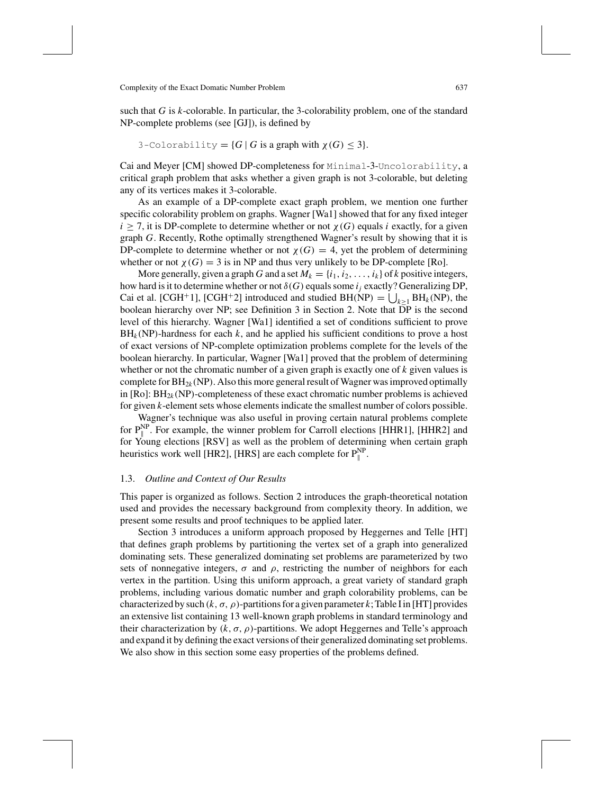such that *G* is *k*-colorable. In particular, the 3-colorability problem, one of the standard NP-complete problems (see [GJ]), is defined by

3-Colorability =  ${G | G$  is a graph with  $\chi(G) \leq 3$ .

Cai and Meyer [CM] showed DP-completeness for Minimal-3-Uncolorability, a critical graph problem that asks whether a given graph is not 3-colorable, but deleting any of its vertices makes it 3-colorable.

As an example of a DP-complete exact graph problem, we mention one further specific colorability problem on graphs. Wagner [Wa1] showed that for any fixed integer  $i \geq 7$ , it is DP-complete to determine whether or not  $\chi(G)$  equals *i* exactly, for a given graph *G*. Recently, Rothe optimally strengthened Wagner's result by showing that it is DP-complete to determine whether or not  $\chi(G) = 4$ , yet the problem of determining whether or not  $\chi(G) = 3$  is in NP and thus very unlikely to be DP-complete [Ro].

More generally, given a graph *G* and a set  $M_k = \{i_1, i_2, \ldots, i_k\}$  of *k* positive integers, how hard is it to determine whether or not  $\delta(G)$  equals some  $i_j$  exactly? Generalizing DP, Cai et al. [CGH<sup>+</sup>1], [CGH<sup>+</sup>2] introduced and studied BH(NP) =  $\bigcup_{k\geq 1} BH_k(NP)$ , the boolean hierarchy over NP; see Definition 3 in Section 2. Note that  $\overline{DP}$  is the second level of this hierarchy. Wagner [Wa1] identified a set of conditions sufficient to prove  $BH<sub>k</sub>(NP)$ -hardness for each *k*, and he applied his sufficient conditions to prove a host of exact versions of NP-complete optimization problems complete for the levels of the boolean hierarchy. In particular, Wagner [Wa1] proved that the problem of determining whether or not the chromatic number of a given graph is exactly one of *k* given values is complete for  $BH_{2k}(NP)$ . Also this more general result of Wagner was improved optimally in  $[Ro]: BH<sub>2k</sub>(NP)$ -completeness of these exact chromatic number problems is achieved for given *k*-element sets whose elements indicate the smallest number of colors possible.

Wagner's technique was also useful in proving certain natural problems complete for  $P_{\parallel}^{NP}$ . For example, the winner problem for Carroll elections [HHR1], [HHR2] and for Young elections [RSV] as well as the problem of determining when certain graph heuristics work well [HR2], [HRS] are each complete for  $P_{\parallel}^{NP}$ .

## 1.3. *Outline and Context of Our Results*

This paper is organized as follows. Section 2 introduces the graph-theoretical notation used and provides the necessary background from complexity theory. In addition, we present some results and proof techniques to be applied later.

Section 3 introduces a uniform approach proposed by Heggernes and Telle [HT] that defines graph problems by partitioning the vertex set of a graph into generalized dominating sets. These generalized dominating set problems are parameterized by two sets of nonnegative integers,  $\sigma$  and  $\rho$ , restricting the number of neighbors for each vertex in the partition. Using this uniform approach, a great variety of standard graph problems, including various domatic number and graph colorability problems, can be characterized by such  $(k, \sigma, \rho)$ -partitions for a given parameter k; Table I in [HT] provides an extensive list containing 13 well-known graph problems in standard terminology and their characterization by  $(k, \sigma, \rho)$ -partitions. We adopt Heggernes and Telle's approach and expand it by defining the exact versions of their generalized dominating set problems. We also show in this section some easy properties of the problems defined.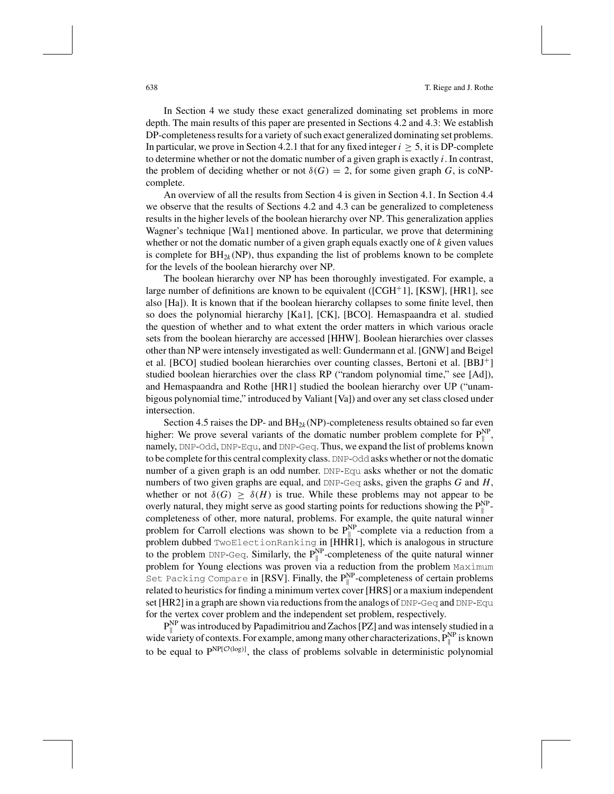In Section 4 we study these exact generalized dominating set problems in more depth. The main results of this paper are presented in Sections 4.2 and 4.3: We establish DP-completeness results for a variety of such exact generalized dominating set problems. In particular, we prove in Section 4.2.1 that for any fixed integer  $i \geq 5$ , it is DP-complete to determine whether or not the domatic number of a given graph is exactly *i*. In contrast, the problem of deciding whether or not  $\delta(G) = 2$ , for some given graph *G*, is coNPcomplete.

An overview of all the results from Section 4 is given in Section 4.1. In Section 4.4 we observe that the results of Sections 4.2 and 4.3 can be generalized to completeness results in the higher levels of the boolean hierarchy over NP. This generalization applies Wagner's technique [Wa1] mentioned above. In particular, we prove that determining whether or not the domatic number of a given graph equals exactly one of *k* given values is complete for  $BH_{2k}(NP)$ , thus expanding the list of problems known to be complete for the levels of the boolean hierarchy over NP.

The boolean hierarchy over NP has been thoroughly investigated. For example, a large number of definitions are known to be equivalent ( $[CGH^+1]$ ,  $[KSW]$ ,  $[HR1]$ , see also [Ha]). It is known that if the boolean hierarchy collapses to some finite level, then so does the polynomial hierarchy [Ka1], [CK], [BCO]. Hemaspaandra et al. studied the question of whether and to what extent the order matters in which various oracle sets from the boolean hierarchy are accessed [HHW]. Boolean hierarchies over classes other than NP were intensely investigated as well: Gundermann et al. [GNW] and Beigel et al. [BCO] studied boolean hierarchies over counting classes, Bertoni et al. [BBJ<sup>+</sup>] studied boolean hierarchies over the class RP ("random polynomial time," see [Ad]), and Hemaspaandra and Rothe [HR1] studied the boolean hierarchy over UP ("unambigous polynomial time," introduced by Valiant [Va]) and over any set class closed under intersection.

Section 4.5 raises the DP- and  $BH_{2k}(NP)$ -completeness results obtained so far even higher: We prove several variants of the domatic number problem complete for  $P_{\parallel}^{NP}$ , namely, DNP-Odd, DNP-Equ, and DNP-Geq. Thus, we expand the list of problems known to be complete for this central complexity class. DNP-Odd asks whether or not the domatic number of a given graph is an odd number. DNP-Equ asks whether or not the domatic numbers of two given graphs are equal, and DNP-Geq asks, given the graphs *G* and *H*, whether or not  $\delta(G) \geq \delta(H)$  is true. While these problems may not appear to be overly natural, they might serve as good starting points for reductions showing the  $P_{\parallel}^{NP}$ completeness of other, more natural, problems. For example, the quite natural winner problem for Carroll elections was shown to be  $P_{\parallel}^{NP}$ -complete via a reduction from a problem dubbed TwoElectionRanking in [HHR1], which is analogous in structure to the problem DNP-Geq. Similarly, the  $P_{\parallel}^{NP}$ -completeness of the quite natural winner problem for Young elections was proven via a reduction from the problem Maximum Set Packing Compare in [RSV]. Finally, the  $P_{\parallel}^{NP}$ -completeness of certain problems related to heuristics for finding a minimum vertex cover [HRS] or a maxium independent set [HR2] in a graph are shown via reductions from the analogs of  $DNP-Geq$  and  $DNP-Equ$ for the vertex cover problem and the independent set problem, respectively.

 $P_{\parallel}^{\text{NP}}$  was introduced by Papadimitriou and Zachos [PZ] and was intensely studied in a wide variety of contexts. For example, among many other characterizations,  $P_{\parallel}^{NP}$  is known to be equal to  $P^{NP[O(log)]}$ , the class of problems solvable in deterministic polynomial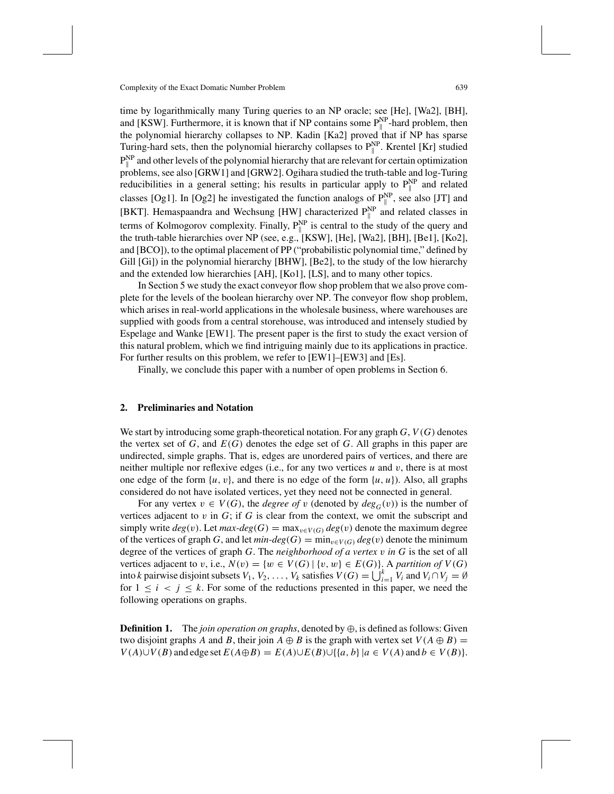time by logarithmically many Turing queries to an NP oracle; see [He], [Wa2], [BH], and [KSW]. Furthermore, it is known that if NP contains some  $P_{\parallel}^{NP}$ -hard problem, then the polynomial hierarchy collapses to NP. Kadin [Ka2] proved that if NP has sparse Turing-hard sets, then the polynomial hierarchy collapses to  $P_{\parallel}^{NP}$ . Krentel [Kr] studied  $P_{\parallel}^{\text{NP}}$  and other levels of the polynomial hierarchy that are relevant for certain optimization problems, see also [GRW1] and [GRW2]. Ogihara studied the truth-table and log-Turing reducibilities in a general setting; his results in particular apply to  $P_{\parallel}^{NP}$  and related classes [Og1]. In [Og2] he investigated the function analogs of  $P_{\parallel}^{NP}$ , see also [JT] and [BKT]. Hemaspaandra and Wechsung [HW] characterized  $P_{\parallel}^{NP}$  and related classes in terms of Kolmogorov complexity. Finally,  $P_{\parallel}^{NP}$  is central to the study of the query and the truth-table hierarchies over NP (see, e.g., [KSW], [He], [Wa2], [BH], [Be1], [Ko2], and [BCO]), to the optimal placement of PP ("probabilistic polynomial time," defined by Gill [Gi]) in the polynomial hierarchy [BHW], [Be2], to the study of the low hierarchy and the extended low hierarchies [AH], [Ko1], [LS], and to many other topics.

In Section 5 we study the exact conveyor flow shop problem that we also prove complete for the levels of the boolean hierarchy over NP. The conveyor flow shop problem, which arises in real-world applications in the wholesale business, where warehouses are supplied with goods from a central storehouse, was introduced and intensely studied by Espelage and Wanke [EW1]. The present paper is the first to study the exact version of this natural problem, which we find intriguing mainly due to its applications in practice. For further results on this problem, we refer to [EW1]–[EW3] and [Es].

Finally, we conclude this paper with a number of open problems in Section 6.

# **2. Preliminaries and Notation**

We start by introducing some graph-theoretical notation. For any graph *G*, *V*(*G*) denotes the vertex set of *G*, and *E*(*G*) denotes the edge set of *G*. All graphs in this paper are undirected, simple graphs. That is, edges are unordered pairs of vertices, and there are neither multiple nor reflexive edges (i.e., for any two vertices  $u$  and  $v$ , there is at most one edge of the form  $\{u, v\}$ , and there is no edge of the form  $\{u, u\}$ ). Also, all graphs considered do not have isolated vertices, yet they need not be connected in general.

For any vertex  $v \in V(G)$ , the *degree of* v (denoted by  $deg_G(v)$ ) is the number of vertices adjacent to v in  $G$ ; if  $G$  is clear from the context, we omit the subscript and simply write  $deg(v)$ . Let  $max-deg(G) = max_{v \in V(G)} deg(v)$  denote the maximum degree of the vertices of graph *G*, and let *min-deg*(*G*) =  $\min_{v \in V(G)} deg(v)$  denote the minimum degree of the vertices of graph *G*. The *neighborhood of a vertex* v *in G* is the set of all vertices adjacent to v, i.e.,  $N(v) = \{w \in V(G) | \{v, w\} \in E(G)\}$ . A *partition of*  $V(G)$ into *k* pairwise disjoint subsets *V*<sub>1</sub>, *V*<sub>2</sub>,..., *V*<sub>k</sub> satisfies *V*(*G*) =  $\bigcup_{i=1}^{k}$  *V*<sub>i</sub> and *V*<sub>i</sub>  $\cap$  *V*<sub>j</sub> = Ø for  $1 \le i \le j \le k$ . For some of the reductions presented in this paper, we need the following operations on graphs.

**Definition 1.** The *join operation on graphs*, denoted by  $\oplus$ , is defined as follows: Given two disjoint graphs *A* and *B*, their join  $A \oplus B$  is the graph with vertex set  $V(A \oplus B) =$ *V*(*A*)∪*V*(*B*) and edge set  $E(A \oplus B) = E(A) \cup E(B) \cup \{ \{a, b\} \mid a \in V(A) \text{ and } b \in V(B) \}.$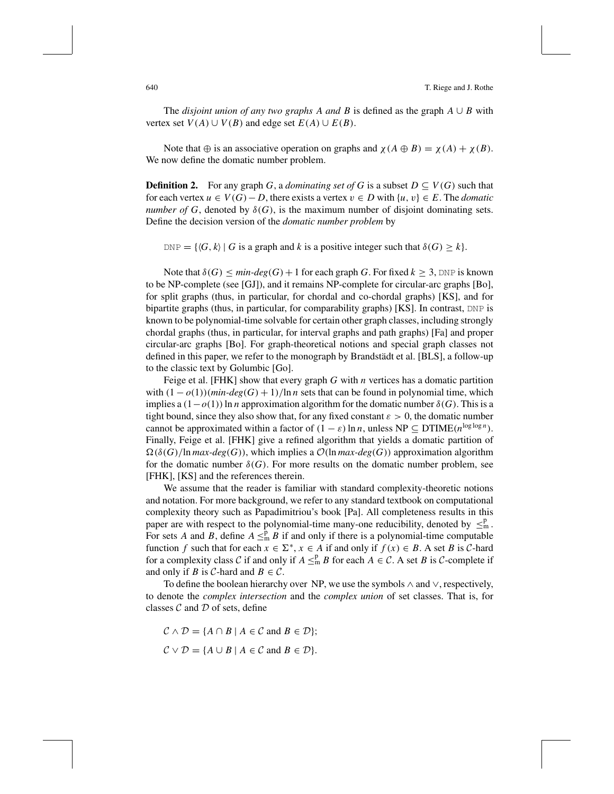The *disjoint union of any two graphs A and B* is defined as the graph  $A \cup B$  with vertex set  $V(A) \cup V(B)$  and edge set  $E(A) \cup E(B)$ .

Note that  $\oplus$  is an associative operation on graphs and  $\chi(A \oplus B) = \chi(A) + \chi(B)$ . We now define the domatic number problem.

**Definition 2.** For any graph *G*, a *dominating set of G* is a subset  $D \subseteq V(G)$  such that for each vertex *u* ∈ *V*(*G*)− *D*, there exists a vertex v ∈ *D* with {*u*, v} ∈ *E*. The *domatic number of G*, denoted by  $\delta(G)$ , is the maximum number of disjoint dominating sets. Define the decision version of the *domatic number problem* by

 $DNP = \{ \langle G, k \rangle \mid G \text{ is a graph and } k \text{ is a positive integer such that } \delta(G) \geq k \}.$ 

Note that  $\delta(G) \le \min\deg(G) + 1$  for each graph *G*. For fixed  $k \ge 3$ , DNP is known to be NP-complete (see [GJ]), and it remains NP-complete for circular-arc graphs [Bo], for split graphs (thus, in particular, for chordal and co-chordal graphs) [KS], and for bipartite graphs (thus, in particular, for comparability graphs) [KS]. In contrast, DNP is known to be polynomial-time solvable for certain other graph classes, including strongly chordal graphs (thus, in particular, for interval graphs and path graphs) [Fa] and proper circular-arc graphs [Bo]. For graph-theoretical notions and special graph classes not defined in this paper, we refer to the monograph by Brandstädt et al. [BLS], a follow-up to the classic text by Golumbic [Go].

Feige et al. [FHK] show that every graph *G* with *n* vertices has a domatic partition with  $(1 - o(1))$ (*min-deg*(*G*) + 1)/ln *n* sets that can be found in polynomial time, which implies a  $(1-o(1))$  ln *n* approximation algorithm for the domatic number  $\delta(G)$ . This is a tight bound, since they also show that, for any fixed constant  $\varepsilon > 0$ , the domatic number cannot be approximated within a factor of  $(1 - \varepsilon) \ln n$ , unless NP  $\subseteq$  DTIME( $n^{\log \log n}$ ). Finally, Feige et al. [FHK] give a refined algorithm that yields a domatic partition of  $\Omega(\delta(G)/\ln \max\text{-}deg(G))$ , which implies a  $\mathcal{O}(\ln \max\text{-}deg(G))$  approximation algorithm for the domatic number  $\delta(G)$ . For more results on the domatic number problem, see [FHK], [KS] and the references therein.

We assume that the reader is familiar with standard complexity-theoretic notions and notation. For more background, we refer to any standard textbook on computational complexity theory such as Papadimitriou's book [Pa]. All completeness results in this paper are with respect to the polynomial-time many-one reducibility, denoted by  $\leq^p_m$ . For sets *A* and *B*, define  $A \leq^{\mathbf{p}}_{m} B$  if and only if there is a polynomial-time computable function *f* such that for each  $x \in \Sigma^*$ ,  $x \in A$  if and only if  $f(x) \in B$ . A set *B* is *C*-hard for a complexity class C if and only if  $A \leq^p_B B$  for each  $A \in \mathcal{C}$ . A set B is C-complete if and only if *B* is *C*-hard and  $B \in \mathcal{C}$ .

To define the boolean hierarchy over NP, we use the symbols ∧ and ∨, respectively, to denote the *complex intersection* and the *complex union* of set classes. That is, for classes  $C$  and  $D$  of sets, define

 $\mathcal{C} \wedge \mathcal{D} = \{A \cap B \mid A \in \mathcal{C} \text{ and } B \in \mathcal{D}\};$  $\mathcal{C} \vee \mathcal{D} = \{A \cup B \mid A \in \mathcal{C} \text{ and } B \in \mathcal{D}\}.$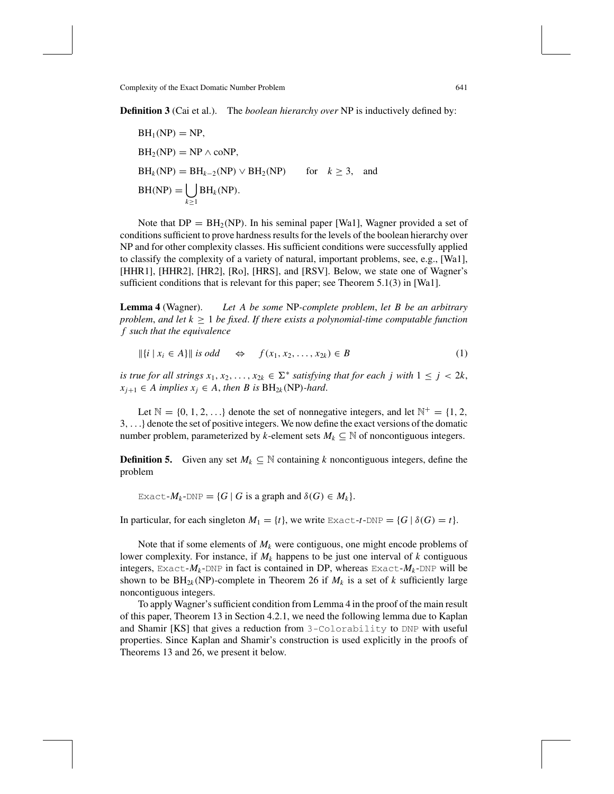**Definition 3** (Cai et al.). The *boolean hierarchy over* NP is inductively defined by:

$$
BH1(NP) = NP,
$$
  
\n
$$
BH2(NP) = NP \land \text{coNP},
$$
  
\n
$$
BHk(NP) = BHk-2(NP) \lor BH2(NP) \qquad \text{for} \quad k \ge 3, \text{ and}
$$
  
\n
$$
BH(NP) = \bigcup_{k \ge 1} BHk(NP).
$$

Note that  $DP = BH_2(NP)$ . In his seminal paper [Wa1], Wagner provided a set of conditions sufficient to prove hardness results for the levels of the boolean hierarchy over NP and for other complexity classes. His sufficient conditions were successfully applied to classify the complexity of a variety of natural, important problems, see, e.g., [Wa1], [HHR1], [HHR2], [HR2], [Ro], [HRS], and [RSV]. Below, we state one of Wagner's sufficient conditions that is relevant for this paper; see Theorem 5.1(3) in [Wa1].

**Lemma 4** (Wagner). *Let A be some* NP*-complete problem*, *let B be an arbitrary problem, and let*  $k \geq 1$  *be fixed. If there exists a polynomial-time computable function f such that the equivalence*

$$
\|\{i \mid x_i \in A\}\| \text{ is odd} \quad \Leftrightarrow \quad f(x_1, x_2, \dots, x_{2k}) \in B \tag{1}
$$

*is true for all strings*  $x_1, x_2, \ldots, x_{2k} \in \Sigma^*$  *satisfying that for each j with*  $1 \leq j < 2k$ ,  $x_{j+1}$  ∈ *A implies*  $x_j$  ∈ *A*, *then B is* BH<sub>2*k*</sub> (NP)*-hard*.

Let  $\mathbb{N} = \{0, 1, 2, \ldots\}$  denote the set of nonnegative integers, and let  $\mathbb{N}^+ = \{1, 2, \ldots\}$ 3,...} denote the set of positive integers. We now define the exact versions of the domatic number problem, parameterized by *k*-element sets  $M_k \subseteq \mathbb{N}$  of noncontiguous integers.

**Definition 5.** Given any set  $M_k \subseteq \mathbb{N}$  containing k noncontiguous integers, define the problem

Exact- $M_k$ -DNP = {*G* | *G* is a graph and  $\delta(G) \in M_k$  }.

In particular, for each singleton  $M_1 = \{t\}$ , we write Exact-*t*-DNP =  $\{G \mid \delta(G) = t\}$ .

Note that if some elements of  $M_k$  were contiguous, one might encode problems of lower complexity. For instance, if  $M_k$  happens to be just one interval of  $k$  contiguous integers, Exact- $M_k$ -DNP in fact is contained in DP, whereas Exact- $M_k$ -DNP will be shown to be  $BH_{2k}(NP)$ -complete in Theorem 26 if  $M_k$  is a set of  $k$  sufficiently large noncontiguous integers.

To apply Wagner's sufficient condition from Lemma 4 in the proof of the main result of this paper, Theorem 13 in Section 4.2.1, we need the following lemma due to Kaplan and Shamir [KS] that gives a reduction from 3-Colorability to DNP with useful properties. Since Kaplan and Shamir's construction is used explicitly in the proofs of Theorems 13 and 26, we present it below.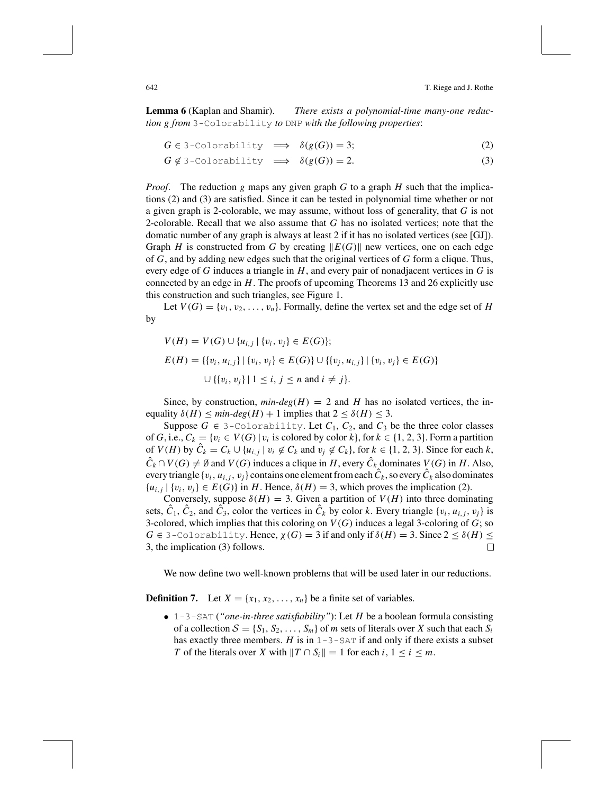**Lemma 6** (Kaplan and Shamir). *There exists a polynomial-time many-one reduction g from* 3-Colorability *to* DNP *with the following properties*:

$$
G \in 3\text{-}\text{Colorability} \implies \delta(g(G)) = 3;\tag{2}
$$

$$
G \notin 3\text{-Colorability} \implies \delta(g(G)) = 2. \tag{3}
$$

*Proof*. The reduction *g* maps any given graph *G* to a graph *H* such that the implications (2) and (3) are satisfied. Since it can be tested in polynomial time whether or not a given graph is 2-colorable, we may assume, without loss of generality, that *G* is not 2-colorable. Recall that we also assume that *G* has no isolated vertices; note that the domatic number of any graph is always at least 2 if it has no isolated vertices (see [GJ]). Graph *H* is constructed from *G* by creating  $||E(G)||$  new vertices, one on each edge of *G*, and by adding new edges such that the original vertices of *G* form a clique. Thus, every edge of *G* induces a triangle in *H*, and every pair of nonadjacent vertices in *G* is connected by an edge in *H*. The proofs of upcoming Theorems 13 and 26 explicitly use this construction and such triangles, see Figure 1.

Let  $V(G) = \{v_1, v_2, \ldots, v_n\}$ . Formally, define the vertex set and the edge set of *H* by

*V*(*H*) = *V*(*G*) ∪ { $u_{i,j}$  | { $v_i, v_j$ } ∈ *E*(*G*)};  $E(H) = \{ \{v_i, u_{i,j}\} \mid \{v_i, v_j\} \in E(G) \} \cup \{ \{v_i, u_{i,j}\} \mid \{v_i, v_j\} \in E(G) \}$ ∪ {{ $v_i, v_j$ } | 1 ≤ *i*, *j* ≤ *n* and *i* ≠ *j*}.

Since, by construction,  $min-deg(H) = 2$  and *H* has no isolated vertices, the inequality  $\delta(H) \leq min-deg(H) + 1$  implies that  $2 \leq \delta(H) \leq 3$ .

Suppose  $G \in$  3-Colorability. Let  $C_1$ ,  $C_2$ , and  $C_3$  be the three color classes of *G*, i.e.,  $C_k = \{v_i \in V(G) \mid v_i \text{ is colored by color } k\}$ , for  $k \in \{1, 2, 3\}$ . Form a partition of  $V(H)$  by  $\hat{C}_k = C_k \cup \{u_{i,j} \mid v_i \notin C_k \text{ and } v_j \notin C_k\}$ , for  $k \in \{1, 2, 3\}$ . Since for each  $k$ ,  $\hat{C}_k \cap V(G) \neq \emptyset$  and  $V(G)$  induces a clique in *H*, every  $\hat{C}_k$  dominates  $V(G)$  in *H*. Also, every triangle  $\{v_i, u_{i,j}, v_j\}$  contains one element from each  $\hat{C}_k$ , so every  $\hat{C}_k$  also dominates  ${u_{i,j} | \{v_i, v_j\} \in E(G)}$  in *H*. Hence,  $\delta(H) = 3$ , which proves the implication (2).

Conversely, suppose  $\delta(H) = 3$ . Given a partition of  $V(H)$  into three dominating sets,  $C_1$ ,  $C_2$ , and  $C_3$ , color the vertices in  $C_k$  by color k. Every triangle  $\{v_i, u_{i,j}, v_j\}$  is 3-colored, which implies that this coloring on *V*(*G*) induces a legal 3-coloring of *G*; so  $G \in$  3-Colorability. Hence,  $\chi(G) = 3$  if and only if  $\delta(H) = 3$ . Since  $2 \leq \delta(H) \leq$ 3, the implication (3) follows. 口

We now define two well-known problems that will be used later in our reductions.

**Definition 7.** Let  $X = \{x_1, x_2, \ldots, x_n\}$  be a finite set of variables.

• 1-3-SAT (*"one-in-three satisfiability"*): Let *H* be a boolean formula consisting of a collection  $S = \{S_1, S_2, \ldots, S_m\}$  of *m* sets of literals over *X* such that each  $S_i$ has exactly three members.  $H$  is in  $1-3-SAT$  if and only if there exists a subset *T* of the literals over *X* with  $||T \cap S_i|| = 1$  for each *i*,  $1 \le i \le m$ .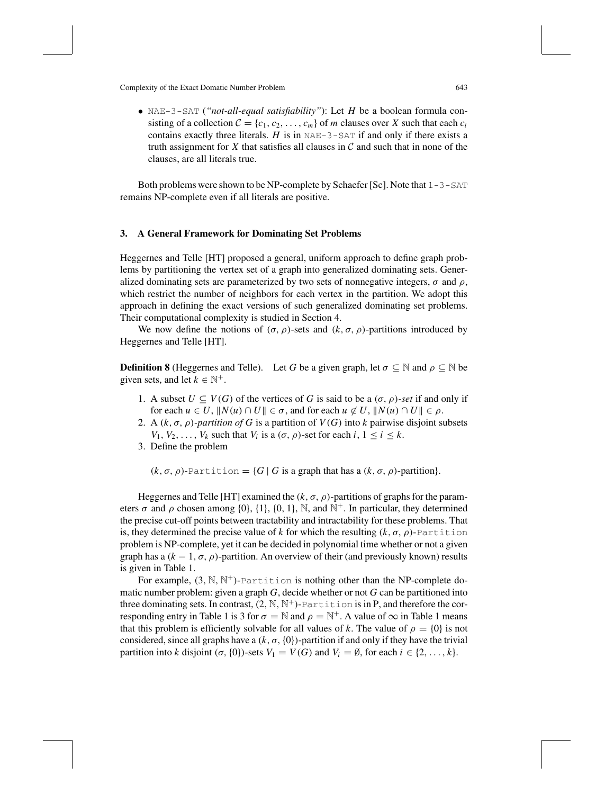• NAE-3-SAT (*"not-all-equal satisfiability"*): Let *H* be a boolean formula consisting of a collection  $C = \{c_1, c_2, \ldots, c_m\}$  of *m* clauses over *X* such that each  $c_i$ contains exactly three literals.  $H$  is in NAE-3-SAT if and only if there exists a truth assignment for  $X$  that satisfies all clauses in  $C$  and such that in none of the clauses, are all literals true.

Both problems were shown to be NP-complete by Schaefer [Sc]. Note that  $1-3-SAT$ remains NP-complete even if all literals are positive.

# **3. A General Framework for Dominating Set Problems**

Heggernes and Telle [HT] proposed a general, uniform approach to define graph problems by partitioning the vertex set of a graph into generalized dominating sets. Generalized dominating sets are parameterized by two sets of nonnegative integers,  $\sigma$  and  $\rho$ , which restrict the number of neighbors for each vertex in the partition. We adopt this approach in defining the exact versions of such generalized dominating set problems. Their computational complexity is studied in Section 4.

We now define the notions of  $(\sigma, \rho)$ -sets and  $(k, \sigma, \rho)$ -partitions introduced by Heggernes and Telle [HT].

**Definition 8** (Heggernes and Telle). Let *G* be a given graph, let  $\sigma \subseteq \mathbb{N}$  and  $\rho \subseteq \mathbb{N}$  be given sets, and let  $k \in \mathbb{N}^+$ .

- 1. A subset  $U \subseteq V(G)$  of the vertices of G is said to be a  $(\sigma, \rho)$ -set if and only if for each  $u \in U$ ,  $||N(u) \cap U|| \in \sigma$ , and for each  $u \notin U$ ,  $||N(u) \cap U|| \in \rho$ .
- 2. A  $(k, \sigma, \rho)$ -partition of G is a partition of  $V(G)$  into k pairwise disjoint subsets *V*<sub>1</sub>, *V*<sub>2</sub>, ..., *V*<sub>k</sub> such that *V*<sub>i</sub> is a  $(\sigma, \rho)$ -set for each *i*,  $1 \le i \le k$ .
- 3. Define the problem

 $(k, \sigma, \rho)$ -Partition =  ${G \mid G}$  is a graph that has a  $(k, \sigma, \rho)$ -partition.

Heggernes and Telle [HT] examined the  $(k, \sigma, \rho)$ -partitions of graphs for the parameters  $\sigma$  and  $\rho$  chosen among {0}, {1}, {0, 1}, N, and N<sup>+</sup>. In particular, they determined the precise cut-off points between tractability and intractability for these problems. That is, they determined the precise value of *k* for which the resulting  $(k, \sigma, \rho)$ -Partition problem is NP-complete, yet it can be decided in polynomial time whether or not a given graph has a  $(k - 1, \sigma, \rho)$ -partition. An overview of their (and previously known) results is given in Table 1.

For example,  $(3, N, N^+)$ -Partition is nothing other than the NP-complete domatic number problem: given a graph *G*, decide whether or not *G* can be partitioned into three dominating sets. In contrast,  $(2, N, N^+)$ -Partition is in P, and therefore the corresponding entry in Table 1 is 3 for  $\sigma = \mathbb{N}$  and  $\rho = \mathbb{N}^+$ . A value of  $\infty$  in Table 1 means that this problem is efficiently solvable for all values of k. The value of  $\rho = \{0\}$  is not considered, since all graphs have a  $(k, \sigma, \{0\})$ -partition if and only if they have the trivial partition into *k* disjoint ( $\sigma$ , {0})-sets  $V_1 = V(G)$  and  $V_i = \emptyset$ , for each  $i \in \{2, ..., k\}$ .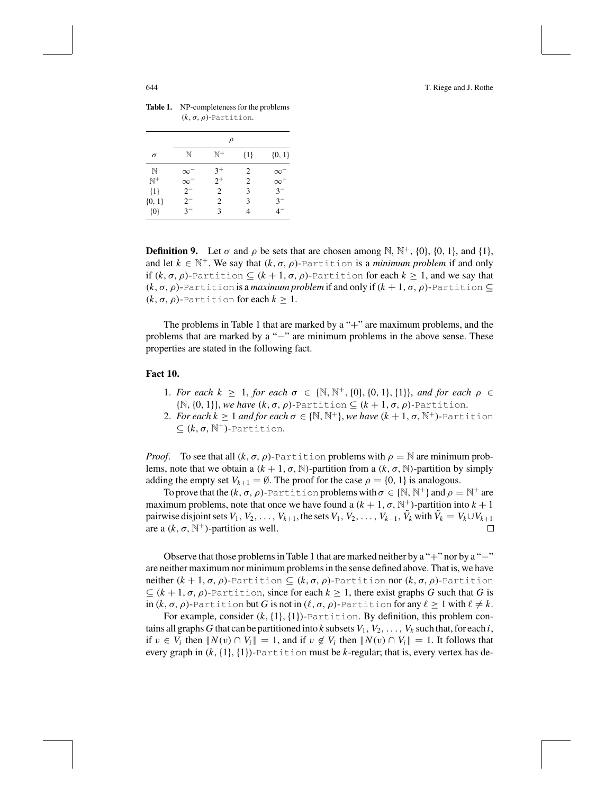### 644 T. Riege and J. Rothe

| $(k, \sigma, \rho)$ -Partition. |            |                |                |            |  |
|---------------------------------|------------|----------------|----------------|------------|--|
|                                 | $\rho$     |                |                |            |  |
| $\sigma$                        | N          | $\mathbb{N}^+$ | ${1}$          | ${0, 1}$   |  |
| N                               | $\infty^-$ | $3^{+}$        | 2              | $\infty^-$ |  |
| $\mathbb{N}^+$                  | $\infty^-$ | $2^{+}$        | $\overline{2}$ | $\infty^-$ |  |
| ${1}$                           | $2^{-}$    | $\overline{2}$ | 3              | $3-$       |  |
| ${0, 1}$                        | $2^{-}$    | 2              | 3              | $3^{-}$    |  |
| ${0}$                           | $3-$       | 3              |                | $4-$       |  |

**Table 1.** NP-completeness for the problems

**Definition 9.** Let  $\sigma$  and  $\rho$  be sets that are chosen among N, N<sup>+</sup>, {0}, {0, 1}, and {1}, and let  $k \in \mathbb{N}^+$ . We say that  $(k, \sigma, \rho)$ -Partition is a *minimum problem* if and only if (*k*, σ, ρ)-Partition ⊆ (*k* + 1, σ, ρ)-Partition for each *k* ≥ 1, and we say that (*k*, σ, ρ)-Partition is a *maximum problem* if and only if(*k* + 1, σ, ρ)-Partition ⊆ (*k*, σ, ρ)-Partition for each *k* ≥ 1.

The problems in Table 1 that are marked by a "+" are maximum problems, and the problems that are marked by a "−" are minimum problems in the above sense. These properties are stated in the following fact.

### **Fact 10.**

- 1. *For each*  $k \ge 1$ , *for each*  $σ ∈ \{N, N^+, \{0\}, \{0, 1\}, \{1\}\}\$ , *and for each*  $ρ ∈$  $\{N, \{0, 1\}\}\$ , *we have*  $(k, \sigma, \rho)$ -Partition  $\subset (k + 1, \sigma, \rho)$ -Partition.
- 2. *For each*  $k \geq 1$  *and for each*  $\sigma \in \{N, N^+\}$ , *we have*  $(k+1, \sigma, N^+)$ -Partition  $\subseteq$   $(k, \sigma, \mathbb{N}^+)$ -Partition.

*Proof.* To see that all  $(k, \sigma, \rho)$ -Partition problems with  $\rho = N$  are minimum problems, note that we obtain a  $(k + 1, \sigma, N)$ -partition from a  $(k, \sigma, N)$ -partition by simply adding the empty set  $V_{k+1} = \emptyset$ . The proof for the case  $\rho = \{0, 1\}$  is analogous.

To prove that the  $(k, \sigma, \rho)$ -Partition problems with  $\sigma \in \{N, N^+\}$  and  $\rho = N^+$  are maximum problems, note that once we have found a  $(k + 1, \sigma, \mathbb{N}^+)$ -partition into  $k + 1$ pairwise disjoint sets  $V_1, V_2, \ldots, V_{k+1}$ , the sets  $V_1, V_2, \ldots, V_{k-1}, \tilde{V}_k$  with  $\tilde{V}_k = V_k \cup V_{k+1}$ are a  $(k, \sigma, \mathbb{N}^+)$ -partition as well.  $\Box$ 

Observe that those problems in Table 1 that are marked neither by a "+" nor by a "−" are neither maximum nor minimum problems in the sense defined above. That is, we have neither (*k* + 1, σ, ρ)-Partition ⊆ (*k*, σ, ρ)-Partition nor (*k*, σ, ρ)-Partition  $\subset$   $(k + 1, \sigma, \rho)$ -Partition, since for each  $k > 1$ , there exist graphs *G* such that *G* is in  $(k, \sigma, \rho)$ -Partition but *G* is not in  $(\ell, \sigma, \rho)$ -Partition for any  $\ell \geq 1$  with  $\ell \neq k$ .

For example, consider  $(k, \{1\}, \{1\})$ -Partition. By definition, this problem contains all graphs *G* that can be partitioned into *k* subsets  $V_1, V_2, \ldots, V_k$  such that, for each *i*, if *v* ∈ *V<sub>i</sub>* then  $||N(v) ∩ V_i|| = 1$ , and if *v* ∉ *V<sub>i</sub>* then  $||N(v) ∩ V_i|| = 1$ . It follows that every graph in  $(k, \{1\}, \{1\})$ -Partition must be *k*-regular; that is, every vertex has de-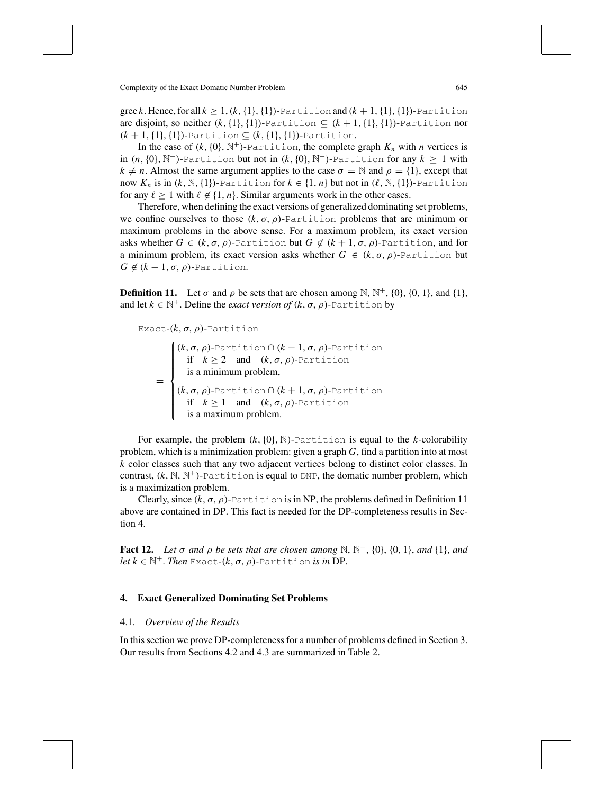gree *k*. Hence, for all  $k \geq 1$ ,  $(k, \{1\}, \{1\})$ -Partition and  $(k + 1, \{1\}, \{1\})$ -Partition are disjoint, so neither  $(k, \{1\}, \{1\})$ -Partition  $\subseteq (k+1, \{1\}, \{1\})$ -Partition nor (*k* + 1,{1},{1})-Partition ⊆ (*k*,{1},{1})-Partition.

In the case of  $(k, \{0\}, \mathbb{N}^+)$ -Partition, the complete graph  $K_n$  with *n* vertices is in  $(n, \{0\}, \mathbb{N}^+)$ -Partition but not in  $(k, \{0\}, \mathbb{N}^+)$ -Partition for any  $k \geq 1$  with  $k \neq n$ . Almost the same argument applies to the case  $\sigma = \mathbb{N}$  and  $\rho = \{1\}$ , except that now  $K_n$  is in  $(k, \mathbb{N}, \{1\})$ -Partition for  $k \in \{1, n\}$  but not in  $(\ell, \mathbb{N}, \{1\})$ -Partition for any  $\ell \geq 1$  with  $\ell \notin \{1, n\}$ . Similar arguments work in the other cases.

Therefore, when defining the exact versions of generalized dominating set problems, we confine ourselves to those  $(k, \sigma, \rho)$ -Partition problems that are minimum or maximum problems in the above sense. For a maximum problem, its exact version asks whether  $G \in (k, \sigma, \rho)$ -Partition but  $G \notin (k+1, \sigma, \rho)$ -Partition, and for a minimum problem, its exact version asks whether  $G \in (k, \sigma, \rho)$ -Partition but  $G \notin (k-1, \sigma, \rho)$ -Partition.

**Definition 11.** Let  $\sigma$  and  $\rho$  be sets that are chosen among N, N<sup>+</sup>, {0}, {0, 1}, and {1}, and let  $k \in \mathbb{N}^+$ . Define the *exact version of*  $(k, \sigma, \rho)$ -Partition by

```
Exact-(k, σ, ρ)-Partition
     =
         \int (k, \sigma, \rho)-Partition \cap \overline{(k-1, \sigma, \rho)}-Partition
         \Bigg\}\overline{\mathcal{L}}if k \ge 2 and (k, \sigma, \rho)-Partition
              is a minimum problem,
           (k, σ, ρ)-Partition ∩ (k + 1, σ, ρ)-Partition
              if k \geq 1 and (k, \sigma, \rho)-Partition
             is a maximum problem.
```
For example, the problem  $(k, \{0\}, \mathbb{N})$ -Partition is equal to the *k*-colorability problem, which is a minimization problem: given a graph *G*, find a partition into at most *k* color classes such that any two adjacent vertices belong to distinct color classes. In contrast,  $(k, \mathbb{N}, \mathbb{N}^+)$ -Partition is equal to DNP, the domatic number problem, which is a maximization problem.

Clearly, since  $(k, \sigma, \rho)$ -Partition is in NP, the problems defined in Definition 11 above are contained in DP. This fact is needed for the DP-completeness results in Section 4.

**Fact 12.** Let  $\sigma$  and  $\rho$  be sets that are chosen among N, N<sup>+</sup>, {0}, {0, 1}, and {1}, and *let*  $k \in \mathbb{N}^+$ *. Then* Exact- $(k, \sigma, \rho)$ -Partition *is in* DP.

### **4. Exact Generalized Dominating Set Problems**

## 4.1. *Overview of the Results*

In this section we prove DP-completeness for a number of problems defined in Section 3. Our results from Sections 4.2 and 4.3 are summarized in Table 2.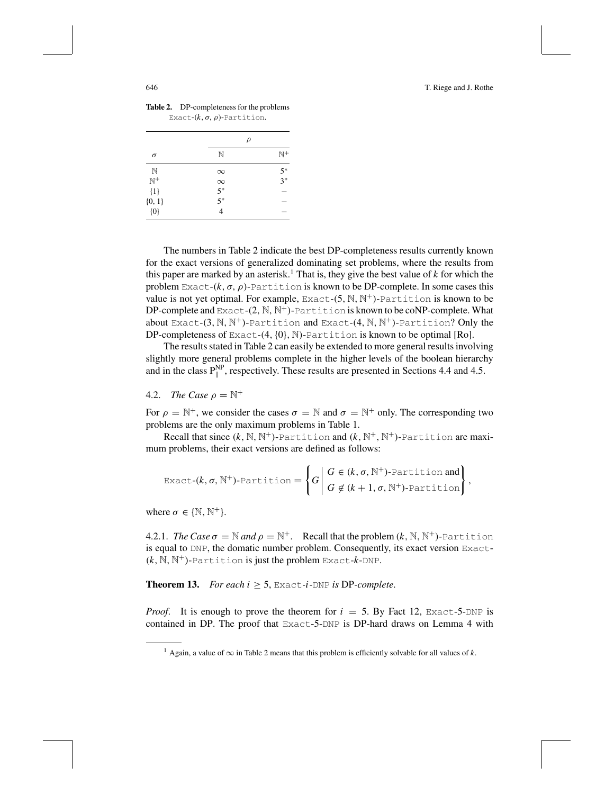### 646 T. Riege and J. Rothe

| Exact- $(k, \sigma, \rho)$ -Partition. |          |                |  |  |
|----------------------------------------|----------|----------------|--|--|
|                                        | $\rho$   |                |  |  |
| σ                                      | N        | $\mathbb{N}^+$ |  |  |
| N                                      | $\infty$ | $5^*$          |  |  |
| $\mathbb{N}^+$                         | $\infty$ | $3*$           |  |  |
| ${1}$                                  | $5^*$    |                |  |  |
| ${0, 1}$                               | $5*$     |                |  |  |
| $\{0\}$                                | 4        |                |  |  |

**Table 2.** DP-completeness for the problems Exact- $(k, \sigma, \rho)$ -Partition.

The numbers in Table 2 indicate the best DP-completeness results currently known for the exact versions of generalized dominating set problems, where the results from this paper are marked by an asterisk.<sup>1</sup> That is, they give the best value of  $k$  for which the problem Exact- $(k, \sigma, \rho)$ -Partition is known to be DP-complete. In some cases this value is not yet optimal. For example,  $\text{Exact-}(5, \mathbb{N}, \mathbb{N}^+)$ -Partition is known to be DP-complete and  $\text{Exact}$ -(2, N, N<sup>+</sup>)-Partition is known to be coNP-complete. What about Exact- $(3, \mathbb{N}, \mathbb{N}^+)$ -Partition and Exact- $(4, \mathbb{N}, \mathbb{N}^+)$ -Partition? Only the DP-completeness of  $Exact-(4, \{0\}, N)$ -Partition is known to be optimal [Ro].

The results stated in Table 2 can easily be extended to more general results involving slightly more general problems complete in the higher levels of the boolean hierarchy and in the class  $P_{\parallel}^{NP}$ , respectively. These results are presented in Sections 4.4 and 4.5.

# 4.2. *The Case*  $\rho = \mathbb{N}^+$

For  $\rho = \mathbb{N}^+$ , we consider the cases  $\sigma = \mathbb{N}$  and  $\sigma = \mathbb{N}^+$  only. The corresponding two problems are the only maximum problems in Table 1.

Recall that since  $(k, \mathbb{N}, \mathbb{N}^+)$ -Partition and  $(k, \mathbb{N}^+, \mathbb{N}^+)$ -Partition are maximum problems, their exact versions are defined as follows:

$$
\text{Exact-}(k, \sigma, \mathbb{N}^+)\text{-Partition} = \left\{ G \middle| \begin{array}{l} G \in (k, \sigma, \mathbb{N}^+) \text{-Partition and} \\ G \not\in (k+1, \sigma, \mathbb{N}^+) \text{-Partition} \end{array} \right\},
$$

where  $\sigma \in \{ \mathbb{N}, \mathbb{N}^+ \}.$ 

4.2.1. *The Case*  $\sigma = \mathbb{N}$  *and*  $\rho = \mathbb{N}^+$ . Recall that the problem  $(k, \mathbb{N}, \mathbb{N}^+)$ -Partition is equal to DNP, the domatic number problem. Consequently, its exact version Exact-  $(k, \mathbb{N}, \mathbb{N}^+)$ -Partition is just the problem Exact- $k$ -DNP.

**Theorem 13.** *For each i*  $\geq$  5, Exact-*i*-DNP *is* DP-*complete.* 

*Proof.* It is enough to prove the theorem for  $i = 5$ . By Fact 12, Exact-5-DNP is contained in DP. The proof that Exact-5-DNP is DP-hard draws on Lemma 4 with

<sup>&</sup>lt;sup>1</sup> Again, a value of  $\infty$  in Table 2 means that this problem is efficiently solvable for all values of *k*.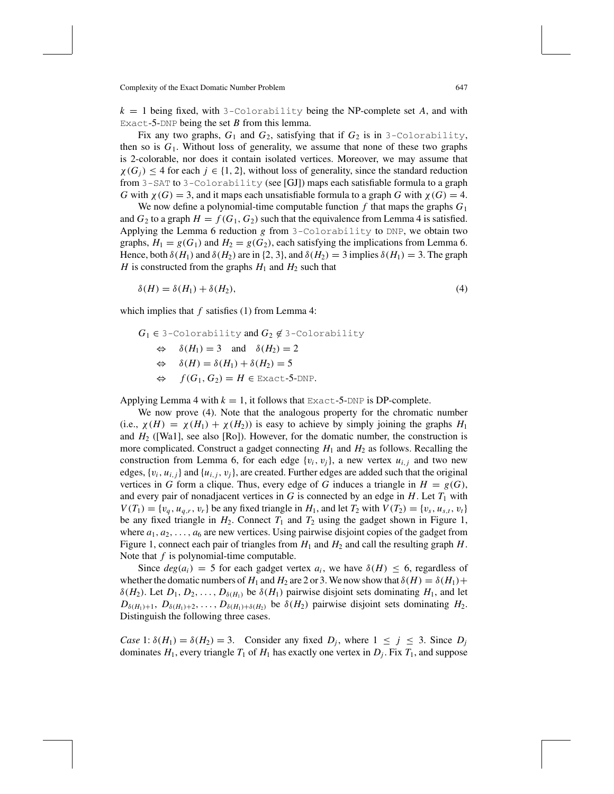$k = 1$  being fixed, with 3-Colorability being the NP-complete set *A*, and with Exact-5-DNP being the set *B* from this lemma.

Fix any two graphs,  $G_1$  and  $G_2$ , satisfying that if  $G_2$  is in 3-Colorability, then so is  $G_1$ . Without loss of generality, we assume that none of these two graphs is 2-colorable, nor does it contain isolated vertices. Moreover, we may assume that  $\chi(G_i) \leq 4$  for each  $j \in \{1, 2\}$ , without loss of generality, since the standard reduction from 3-SAT to 3-Colorability (see [GJ]) maps each satisfiable formula to a graph *G* with  $\chi(G) = 3$ , and it maps each unsatisfiable formula to a graph *G* with  $\chi(G) = 4$ .

We now define a polynomial-time computable function  $f$  that maps the graphs  $G_1$ and  $G_2$  to a graph  $H = f(G_1, G_2)$  such that the equivalence from Lemma 4 is satisfied. Applying the Lemma 6 reduction *g* from 3-Colorability to DNP, we obtain two graphs,  $H_1 = g(G_1)$  and  $H_2 = g(G_2)$ , each satisfying the implications from Lemma 6. Hence, both  $\delta(H_1)$  and  $\delta(H_2)$  are in {2, 3}, and  $\delta(H_2) = 3$  implies  $\delta(H_1) = 3$ . The graph *H* is constructed from the graphs  $H_1$  and  $H_2$  such that

$$
\delta(H) = \delta(H_1) + \delta(H_2),\tag{4}
$$

which implies that *f* satisfies (1) from Lemma 4:

- $G_1 \in$  3-Colorability and  $G_2 \notin$  3-Colorability  $\Leftrightarrow$   $\delta(H_1) = 3$  and  $\delta(H_2) = 2$  $\Leftrightarrow$   $\delta(H) = \delta(H_1) + \delta(H_2) = 5$ 
	- $\Leftrightarrow$   $f(G_1, G_2) = H \in$  Exact-5-DNP.

Applying Lemma 4 with  $k = 1$ , it follows that Exact-5-DNP is DP-complete.

We now prove (4). Note that the analogous property for the chromatic number (i.e.,  $\chi(H) = \chi(H_1) + \chi(H_2)$ ) is easy to achieve by simply joining the graphs  $H_1$ and  $H_2$  ([Wa1], see also [Ro]). However, for the domatic number, the construction is more complicated. Construct a gadget connecting  $H_1$  and  $H_2$  as follows. Recalling the construction from Lemma 6, for each edge  $\{v_i, v_j\}$ , a new vertex  $u_{i,j}$  and two new edges,  $\{v_i, u_{i,j}\}\$  and  $\{u_{i,j}, v_j\}$ , are created. Further edges are added such that the original vertices in *G* form a clique. Thus, every edge of *G* induces a triangle in  $H = g(G)$ , and every pair of nonadjacent vertices in  $G$  is connected by an edge in  $H$ . Let  $T_1$  with  $V(T_1) = \{v_q, u_{q,r}, v_r\}$  be any fixed triangle in  $H_1$ , and let  $T_2$  with  $V(T_2) = \{v_s, u_{s,t}, v_t\}$ be any fixed triangle in  $H_2$ . Connect  $T_1$  and  $T_2$  using the gadget shown in Figure 1, where  $a_1, a_2, \ldots, a_6$  are new vertices. Using pairwise disjoint copies of the gadget from Figure 1, connect each pair of triangles from  $H_1$  and  $H_2$  and call the resulting graph  $H$ . Note that *f* is polynomial-time computable.

Since  $deg(a_i) = 5$  for each gadget vertex  $a_i$ , we have  $\delta(H) \leq 6$ , regardless of whether the domatic numbers of  $H_1$  and  $H_2$  are 2 or 3. We now show that  $\delta(H) = \delta(H_1) +$  $\delta(H_2)$ . Let  $D_1, D_2, \ldots, D_{\delta(H_1)}$  be  $\delta(H_1)$  pairwise disjoint sets dominating  $H_1$ , and let  $D_{\delta(H_1)+1}, D_{\delta(H_1)+2}, \ldots, D_{\delta(H_1)+\delta(H_2)}$  be  $\delta(H_2)$  pairwise disjoint sets dominating  $H_2$ . Distinguish the following three cases.

*Case* 1:  $\delta(H_1) = \delta(H_2) = 3$ . Consider any fixed *D<sub>j</sub>*, where  $1 \le j \le 3$ . Since *D<sub>j</sub>* dominates  $H_1$ , every triangle  $T_1$  of  $H_1$  has exactly one vertex in  $D_j$ . Fix  $T_1$ , and suppose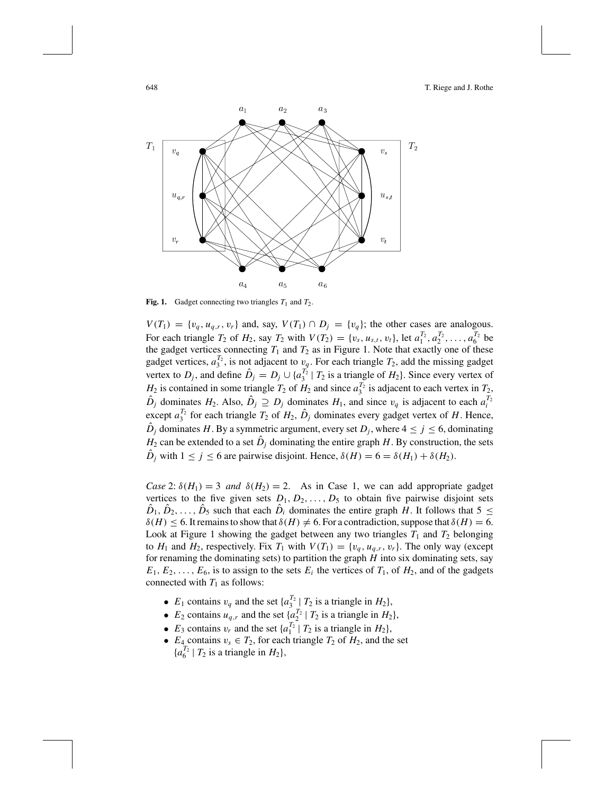648 T. Riege and J. Rothe



**Fig. 1.** Gadget connecting two triangles  $T_1$  and  $T_2$ .

 $V(T_1) = \{v_q, u_{q,r}, v_r\}$  and, say,  $V(T_1) \cap D_j = \{v_q\}$ ; the other cases are analogous. For each triangle  $T_2$  of  $H_2$ , say  $T_2$  with  $V(T_2) = \{v_s, u_{s,t}, v_t\}$ , let  $a_1^{T_2}, a_2^{T_2}, \ldots, a_6^{T_2}$  be the gadget vertices connecting  $T_1$  and  $T_2$  as in Figure 1. Note that exactly one of these gadget vertices,  $a_3^{\tau_2}$ , is not adjacent to  $v_q$ . For each triangle  $T_2$ , add the missing gadget vertex to  $D_j$ , and define  $\hat{D}_j = D_j \cup \{a_3^T \mid T_2 \text{ is a triangle of } H_2\}$ . Since every vertex of  $H_2$  is contained in some triangle  $T_2$  of  $H_2$  and since  $a_3^{T_2}$  is adjacent to each vertex in  $T_2$ ,  $\hat{D}_j$  dominates  $H_2$ . Also,  $\hat{D}_j \supseteq D_j$  dominates  $H_1$ , and since  $v_q$  is adjacent to each  $a_i^{T_2}$ except  $a_3^{\mathcal{T}_2}$  for each triangle  $\mathcal{T}_2$  of  $H_2$ ,  $\hat{D}_j$  dominates every gadget vertex of *H*. Hence,  $\hat{D}_j$  dominates *H*. By a symmetric argument, every set  $D_j$ , where  $4 \leq j \leq 6$ , dominating  $H_2$  can be extended to a set  $\hat{D}_i$  dominating the entire graph *H*. By construction, the sets  $D_j$  with  $1 \le j \le 6$  are pairwise disjoint. Hence,  $\delta(H) = 6 = \delta(H_1) + \delta(H_2)$ .

*Case* 2:  $\delta(H_1) = 3$  *and*  $\delta(H_2) = 2$ . As in Case 1, we can add appropriate gadget vertices to the five given sets  $D_1, D_2, \ldots, D_5$  to obtain five pairwise disjoint sets  $D_1, D_2, \ldots, D_5$  such that each  $D_i$  dominates the entire graph *H*. It follows that  $5 \leq$  $\delta(H) \leq 6$ . It remains to show that  $\delta(H) \neq 6$ . For a contradiction, suppose that  $\delta(H) = 6$ . Look at Figure 1 showing the gadget between any two triangles  $T_1$  and  $T_2$  belonging to  $H_1$  and  $H_2$ , respectively. Fix  $T_1$  with  $V(T_1) = \{v_q, u_{q,r}, v_r\}$ . The only way (except for renaming the dominating sets) to partition the graph *H* into six dominating sets, say  $E_1, E_2, \ldots, E_6$ , is to assign to the sets  $E_i$  the vertices of  $T_1$ , of  $H_2$ , and of the gadgets connected with  $T_1$  as follows:

- $E_1$  contains  $v_q$  and the set  $\{a_3^{T_2} \mid T_2 \text{ is a triangle in } H_2\},\$
- $E_2$  contains  $u_{q,r}$  and the set  $\{a_2^{T_2} \mid T_2 \text{ is a triangle in } H_2\},\$
- $E_3$  contains  $v_r$  and the set  $\{a_1^{T_2} \mid T_2 \text{ is a triangle in } H_2\},\$
- $E_4$  contains  $v_s \in T_2$ , for each triangle  $T_2$  of  $H_2$ , and the set  ${a_6^{T_2} | T_2 \text{ is a triangle in } H_2},$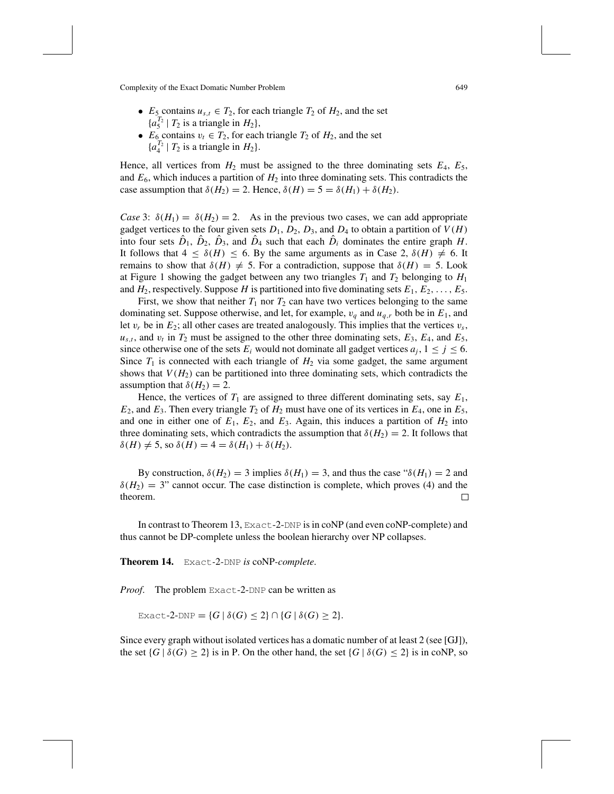- $E_5$  contains  $u_{s,t} \in T_2$ , for each triangle  $T_2$  of  $H_2$ , and the set  ${a_5^{T_2} \mid T_2 \text{ is a triangle in } H_2},$
- $E_6$  contains  $v_t \in T_2$ , for each triangle  $T_2$  of  $H_2$ , and the set  ${a_4^{T_2} \mid T_2 \text{ is a triangle in } H_2}.$

Hence, all vertices from  $H_2$  must be assigned to the three dominating sets  $E_4$ ,  $E_5$ , and  $E_6$ , which induces a partition of  $H_2$  into three dominating sets. This contradicts the case assumption that  $\delta(H_2) = 2$ . Hence,  $\delta(H) = 5 = \delta(H_1) + \delta(H_2)$ .

*Case* 3:  $\delta(H_1) = \delta(H_2) = 2$ . As in the previous two cases, we can add appropriate gadget vertices to the four given sets  $D_1$ ,  $D_2$ ,  $D_3$ , and  $D_4$  to obtain a partition of  $V(H)$ into four sets  $\hat{D}_1$ ,  $\hat{D}_2$ ,  $\hat{D}_3$ , and  $\hat{D}_4$  such that each  $\hat{D}_i$  dominates the entire graph *H*. It follows that  $4 \leq \delta(H) \leq 6$ . By the same arguments as in Case 2,  $\delta(H) \neq 6$ . It remains to show that  $\delta(H) \neq 5$ . For a contradiction, suppose that  $\delta(H) = 5$ . Look at Figure 1 showing the gadget between any two triangles  $T_1$  and  $T_2$  belonging to  $H_1$ and  $H_2$ , respectively. Suppose *H* is partitioned into five dominating sets  $E_1, E_2, \ldots, E_5$ .

First, we show that neither  $T_1$  nor  $T_2$  can have two vertices belonging to the same dominating set. Suppose otherwise, and let, for example, v*<sup>q</sup>* and *uq*,*<sup>r</sup>* both be in *E*1, and let  $v_r$  be in  $E_2$ ; all other cases are treated analogously. This implies that the vertices  $v_s$ ,  $u_{s,t}$ , and  $v_t$  in  $T_2$  must be assigned to the other three dominating sets,  $E_3$ ,  $E_4$ , and  $E_5$ , since otherwise one of the sets  $E_i$  would not dominate all gadget vertices  $a_j$ ,  $1 \le j \le 6$ . Since  $T_1$  is connected with each triangle of  $H_2$  via some gadget, the same argument shows that  $V(H_2)$  can be partitioned into three dominating sets, which contradicts the assumption that  $\delta(H_2) = 2$ .

Hence, the vertices of  $T_1$  are assigned to three different dominating sets, say  $E_1$ ,  $E_2$ , and  $E_3$ . Then every triangle  $T_2$  of  $H_2$  must have one of its vertices in  $E_4$ , one in  $E_5$ , and one in either one of  $E_1$ ,  $E_2$ , and  $E_3$ . Again, this induces a partition of  $H_2$  into three dominating sets, which contradicts the assumption that  $\delta(H_2) = 2$ . It follows that  $\delta(H) \neq 5$ , so  $\delta(H) = 4 = \delta(H_1) + \delta(H_2)$ .

By construction,  $\delta(H_2) = 3$  implies  $\delta(H_1) = 3$ , and thus the case " $\delta(H_1) = 2$  and  $\delta(H_2) = 3$ " cannot occur. The case distinction is complete, which proves (4) and the theorem. Е

In contrast to Theorem 13, Exact-2-DNP is in coNP (and even coNP-complete) and thus cannot be DP-complete unless the boolean hierarchy over NP collapses.

**Theorem 14.** Exact*-*2*-*DNP *is* coNP*-complete*.

*Proof*. The problem Exact-2-DNP can be written as

Exact-2-DNP =  ${G | \delta(G) \leq 2} \cap {G | \delta(G) \geq 2}.$ 

Since every graph without isolated vertices has a domatic number of at least 2 (see [GJ]), the set  $\{G \mid \delta(G) \geq 2\}$  is in P. On the other hand, the set  $\{G \mid \delta(G) \leq 2\}$  is in coNP, so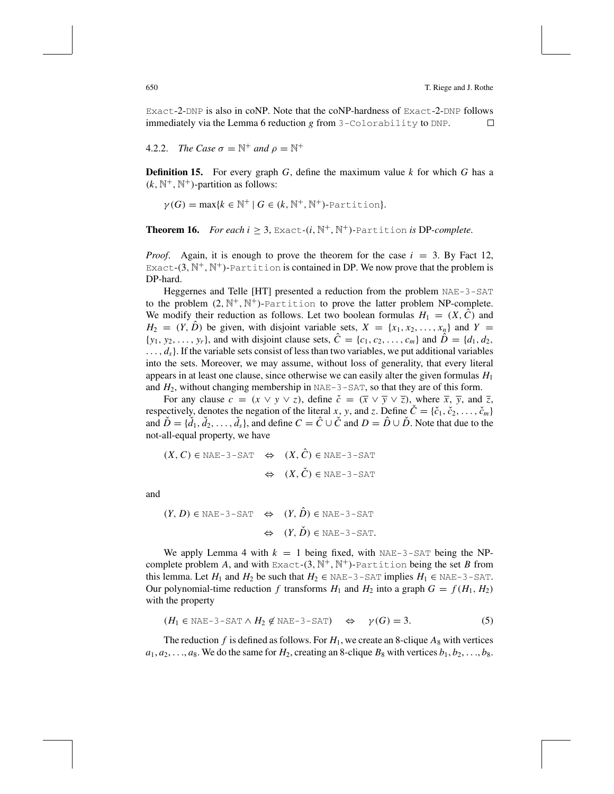Exact-2-DNP is also in coNP. Note that the coNP-hardness of Exact-2-DNP follows immediately via the Lemma 6 reduction *g* from 3-Colorability to DNP. 囗

4.2.2. The Case 
$$
\sigma = \mathbb{N}^+
$$
 and  $\rho = \mathbb{N}^+$ 

**Definition 15.** For every graph *G*, define the maximum value *k* for which *G* has a  $(k, \mathbb{N}^+, \mathbb{N}^+)$ -partition as follows:

 $\gamma(G) = \max\{k \in \mathbb{N}^+ \mid G \in (k, \mathbb{N}^+, \mathbb{N}^+)\text{-Partition}\}.$ 

# **Theorem 16.** *For each i*  $\geq$  3, Exact- $(i, \mathbb{N}^+, \mathbb{N}^+)$ -Partition *is* DP-*complete*.

*Proof.* Again, it is enough to prove the theorem for the case  $i = 3$ . By Fact 12, Exact- $(3, \mathbb{N}^+, \mathbb{N}^+)$ -Partition is contained in DP. We now prove that the problem is DP-hard.

Heggernes and Telle [HT] presented a reduction from the problem NAE-3-SAT to the problem  $(2, \mathbb{N}^+, \mathbb{N}^+)$ -Partition to prove the latter problem NP-complete. We modify their reduction as follows. Let two boolean formulas  $H_1 = (X, \tilde{C})$  and  $H_2 = (Y, D)$  be given, with disjoint variable sets,  $X = \{x_1, x_2, \ldots, x_n\}$  and  $Y =$  $\{y_1, y_2, \ldots, y_r\}$ , and with disjoint clause sets,  $\hat{C} = \{c_1, c_2, \ldots, c_m\}$  and  $\hat{D} = \{d_1, d_2, \ldots, d_m\}$  $\dots$ ,  $d_s$ . If the variable sets consist of less than two variables, we put additional variables into the sets. Moreover, we may assume, without loss of generality, that every literal appears in at least one clause, since otherwise we can easily alter the given formulas *H*<sup>1</sup> and  $H_2$ , without changing membership in NAE-3-SAT, so that they are of this form.

For any clause  $c = (x \vee y \vee z)$ , define  $\check{c} = (\overline{x} \vee \overline{y} \vee \overline{z})$ , where  $\overline{x}$ ,  $\overline{y}$ , and  $\overline{z}$ , respectively, denotes the negation of the literal *x*, *y*, and *z*. Define  $\dot{C} = {\lbrace \v{c}_1, \v{c}_2, \ldots, \v{c}_m \rbrace}$ and  $\check{D} = \{\check{d}_1, \check{d}_2, \ldots, \check{d}_s\}$ , and define  $C = \hat{C} \cup \check{C}$  and  $D = \hat{D} \cup \check{D}$ . Note that due to the not-all-equal property, we have

$$
(X, C) \in \text{NAE-3-SAT} \Leftrightarrow (X, \hat{C}) \in \text{NAE-3-SAT}
$$
  
 $\Leftrightarrow (X, \check{C}) \in \text{NAE-3-SAT}$ 

and

$$
(Y, D) \in \text{NAE-3-SAT} \Leftrightarrow (Y, \hat{D}) \in \text{NAE-3-SAT}
$$
  
 $\Leftrightarrow (Y, \check{D}) \in \text{NAE-3-SAT}.$ 

We apply Lemma 4 with  $k = 1$  being fixed, with  $NAE-3-SAT$  being the NPcomplete problem *A*, and with Exact-(3,  $\mathbb{N}^+$ ,  $\mathbb{N}^+$ )-Partition being the set *B* from this lemma. Let *H*<sub>1</sub> and *H*<sub>2</sub> be such that  $H_2 \in \text{NAE-3-SAT}$  implies  $H_1 \in \text{NAE-3-SAT}$ . Our polynomial-time reduction *f* transforms  $H_1$  and  $H_2$  into a graph  $G = f(H_1, H_2)$ with the property

$$
(H_1 \in \text{NAE-3-SAT} \land H_2 \notin \text{NAE-3-SAT}) \quad \Leftrightarrow \quad \gamma(G) = 3. \tag{5}
$$

The reduction f is defined as follows. For  $H_1$ , we create an 8-clique  $A_8$  with vertices  $a_1, a_2, \ldots, a_8$ . We do the same for  $H_2$ , creating an 8-clique  $B_8$  with vertices  $b_1, b_2, \ldots, b_8$ .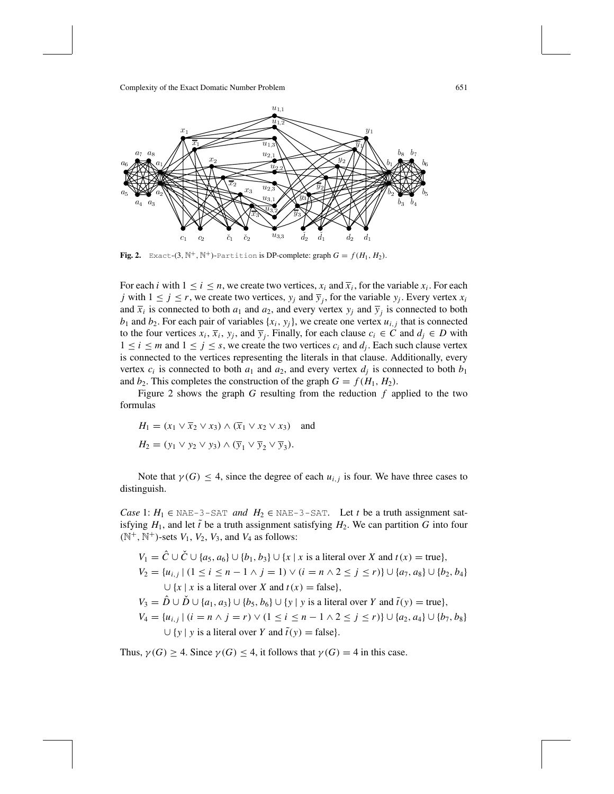

**Fig. 2.** Exact- $(3, \mathbb{N}^+, \mathbb{N}^+)$ -Partition is DP-complete: graph  $G = f(H_1, H_2)$ .

For each *i* with  $1 \le i \le n$ , we create two vertices,  $x_i$  and  $\overline{x}_i$ , for the variable  $x_i$ . For each *j* with  $1 \le j \le r$ , we create two vertices,  $y_j$  and  $\overline{y}_i$ , for the variable  $y_j$ . Every vertex  $x_i$ and  $\overline{x}_i$  is connected to both  $a_1$  and  $a_2$ , and every vertex  $y_j$  and  $\overline{y}_i$  is connected to both  $b_1$  and  $b_2$ . For each pair of variables  $\{x_i, y_j\}$ , we create one vertex  $u_{i,j}$  that is connected to the four vertices  $x_i$ ,  $\overline{x}_i$ ,  $y_j$ , and  $\overline{y}_i$ . Finally, for each clause  $c_i \in C$  and  $d_j \in D$  with  $1 \le i \le m$  and  $1 \le j \le s$ , we create the two vertices  $c_i$  and  $d_j$ . Each such clause vertex is connected to the vertices representing the literals in that clause. Additionally, every vertex  $c_i$  is connected to both  $a_1$  and  $a_2$ , and every vertex  $d_i$  is connected to both  $b_1$ and  $b_2$ . This completes the construction of the graph  $G = f(H_1, H_2)$ .

Figure 2 shows the graph *G* resulting from the reduction *f* applied to the two formulas

$$
H_1 = (x_1 \vee \overline{x}_2 \vee x_3) \wedge (\overline{x}_1 \vee x_2 \vee x_3) \text{ and}
$$
  

$$
H_2 = (y_1 \vee y_2 \vee y_3) \wedge (\overline{y}_1 \vee \overline{y}_2 \vee \overline{y}_3).
$$

Note that  $\gamma(G) \leq 4$ , since the degree of each  $u_{i,j}$  is four. We have three cases to distinguish.

*Case* 1:  $H_1 \in \text{NAE-3-SAT}$  *and*  $H_2 \in \text{NAE-3-SAT}$ . Let *t* be a truth assignment satisfying  $H_1$ , and let  $\tilde{t}$  be a truth assignment satisfying  $H_2$ . We can partition *G* into four  $(N^+$ ,  $N^+$ )-sets  $V_1$ ,  $V_2$ ,  $V_3$ , and  $V_4$  as follows:

$$
V_1 = \hat{C} \cup \check{C} \cup \{a_5, a_6\} \cup \{b_1, b_3\} \cup \{x \mid x \text{ is a literal over } X \text{ and } t(x) = \text{true}\},
$$
  
\n
$$
V_2 = \{u_{i,j} \mid (1 \le i \le n - 1 \land j = 1) \lor (i = n \land 2 \le j \le r)\} \cup \{a_7, a_8\} \cup \{b_2, b_4\}
$$
  
\n
$$
\cup \{x \mid x \text{ is a literal over } X \text{ and } t(x) = \text{false}\},
$$
  
\n
$$
V_3 = \hat{D} \cup \check{D} \cup \{a_1, a_3\} \cup \{b_5, b_6\} \cup \{y \mid y \text{ is a literal over } Y \text{ and } \tilde{t}(y) = \text{true}\},
$$

*V*<sub>4</sub> = { $u_{i,j}$  | ( $i = n \land j = r$ ) ∨ (1 ≤  $i ≤ n - 1 \land 2 ≤ j ≤ r$ )}∪ { $a_2, a_4$ }∪ { $b_7, b_8$ } ∪ {*y* | *y* is a literal over *Y* and  $\tilde{t}(y) = \text{false}$ }.

Thus,  $\gamma(G) \geq 4$ . Since  $\gamma(G) \leq 4$ , it follows that  $\gamma(G) = 4$  in this case.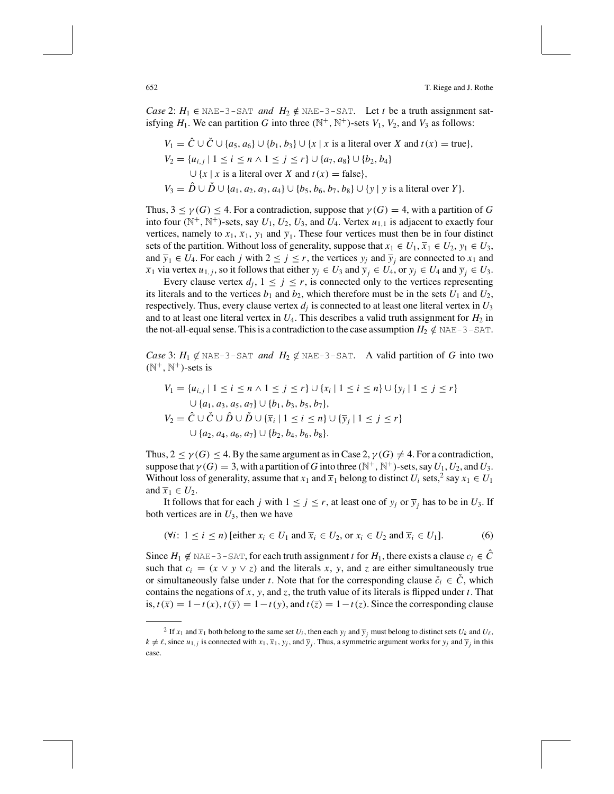*Case* 2:  $H_1 \in \text{NAE-3-SAT}$  *and*  $H_2 \notin \text{NAE-3-SAT}$ . Let *t* be a truth assignment satisfying  $H_1$ . We can partition G into three  $(\mathbb{N}^+, \mathbb{N}^+)$ -sets  $V_1$ ,  $V_2$ , and  $V_3$  as follows:

$$
V_1 = \hat{C} \cup \check{C} \cup \{a_5, a_6\} \cup \{b_1, b_3\} \cup \{x \mid x \text{ is a literal over } X \text{ and } t(x) = \text{true}\},
$$
  
\n
$$
V_2 = \{u_{i,j} \mid 1 \le i \le n \land 1 \le j \le r\} \cup \{a_7, a_8\} \cup \{b_2, b_4\}
$$
  
\n
$$
\cup \{x \mid x \text{ is a literal over } X \text{ and } t(x) = \text{false}\},
$$
  
\n
$$
V_3 = \hat{D} \cup \check{D} \cup \{a_1, a_2, a_3, a_4\} \cup \{b_5, b_6, b_7, b_8\} \cup \{y \mid y \text{ is a literal over } Y\}.
$$

Thus,  $3 \le \gamma(G) \le 4$ . For a contradiction, suppose that  $\gamma(G) = 4$ , with a partition of G into four  $(N^+, N^+)$ -sets, say  $U_1, U_2, U_3$ , and  $U_4$ . Vertex  $u_{1,1}$  is adjacent to exactly four vertices, namely to  $x_1$ ,  $\overline{x}_1$ ,  $y_1$  and  $\overline{y}_1$ . These four vertices must then be in four distinct sets of the partition. Without loss of generality, suppose that  $x_1 \in U_1$ ,  $\overline{x}_1 \in U_2$ ,  $y_1 \in U_3$ , and  $\overline{y}_1 \in U_4$ . For each *j* with  $2 \le j \le r$ , the vertices  $y_j$  and  $\overline{y}_j$  are connected to  $x_1$  and  $\overline{x}_1$  via vertex  $u_{1,j}$ , so it follows that either  $y_j \in U_3$  and  $\overline{y}_j \in U_4$ , or  $y_j \in U_4$  and  $\overline{y}_j \in U_3$ .

Every clause vertex  $d_i$ ,  $1 \leq j \leq r$ , is connected only to the vertices representing its literals and to the vertices  $b_1$  and  $b_2$ , which therefore must be in the sets  $U_1$  and  $U_2$ , respectively. Thus, every clause vertex  $d_i$  is connected to at least one literal vertex in  $U_3$ and to at least one literal vertex in  $U_4$ . This describes a valid truth assignment for  $H_2$  in the not-all-equal sense. This is a contradiction to the case assumption  $H_2 \notin \text{NAE-3-SAT}$ .

*Case* 3:  $H_1 \notin \text{NAE-3-SAT}$  *and*  $H_2 \notin \text{NAE-3-SAT}$ . A valid partition of *G* into two  $(N^+$ ,  $N^+$ )-sets is

$$
V_1 = \{u_{i,j} \mid 1 \le i \le n \land 1 \le j \le r\} \cup \{x_i \mid 1 \le i \le n\} \cup \{y_j \mid 1 \le j \le r\}
$$
  

$$
\cup \{a_1, a_3, a_5, a_7\} \cup \{b_1, b_3, b_5, b_7\},\
$$
  

$$
V_2 = \hat{C} \cup \check{C} \cup \hat{D} \cup \check{D} \cup \{\overline{x}_i \mid 1 \le i \le n\} \cup \{\overline{y}_j \mid 1 \le j \le r\}
$$
  

$$
\cup \{a_2, a_4, a_6, a_7\} \cup \{b_2, b_4, b_6, b_8\}.
$$

Thus,  $2 \le \gamma(G) \le 4$ . By the same argument as in Case 2,  $\gamma(G) \ne 4$ . For a contradiction, suppose that  $\gamma(G) = 3$ , with a partition of *G* into three ( $\mathbb{N}^+$ ,  $\mathbb{N}^+$ )-sets, say  $U_1, U_2$ , and  $U_3$ . Without loss of generality, assume that  $x_1$  and  $\overline{x}_1$  belong to distinct  $U_i$  sets,<sup>2</sup> say  $x_1 \in U_1$ and  $\overline{x}_1 \in U_2$ .

It follows that for each *j* with  $1 \le j \le r$ , at least one of  $y_i$  or  $\overline{y}_i$  has to be in  $U_3$ . If both vertices are in  $U_3$ , then we have

$$
(\forall i: 1 \le i \le n) \text{ [either } x_i \in U_1 \text{ and } \overline{x}_i \in U_2 \text{, or } x_i \in U_2 \text{ and } \overline{x}_i \in U_1 \text{]}.
$$
 (6)

Since  $H_1 \notin \text{NAE-3-SAT}$ , for each truth assignment *t* for  $H_1$ , there exists a clause  $c_i \in \hat{C}$ such that  $c_i = (x \lor y \lor z)$  and the literals x, y, and z are either simultaneously true or simultaneously false under *t*. Note that for the corresponding clause  $\check{c}_i \in \check{C}$ , which contains the negations of *x*, *y*, and *z*, the truth value of its literals is flipped under *t*. That is,  $t(\overline{x}) = 1 - t(x)$ ,  $t(\overline{y}) = 1 - t(y)$ , and  $t(\overline{z}) = 1 - t(z)$ . Since the corresponding clause

<sup>&</sup>lt;sup>2</sup> If  $x_1$  and  $\overline{x_1}$  both belong to the same set  $U_i$ , then each  $y_i$  and  $\overline{y_i}$  must belong to distinct sets  $U_k$  and  $U_\ell$ ,  $k \neq \ell$ , since  $u_{1,j}$  is connected with  $x_1, \overline{x}_1, y_j$ , and  $\overline{y}_j$ . Thus, a symmetric argument works for  $y_j$  and  $\overline{y}_j$  in this case.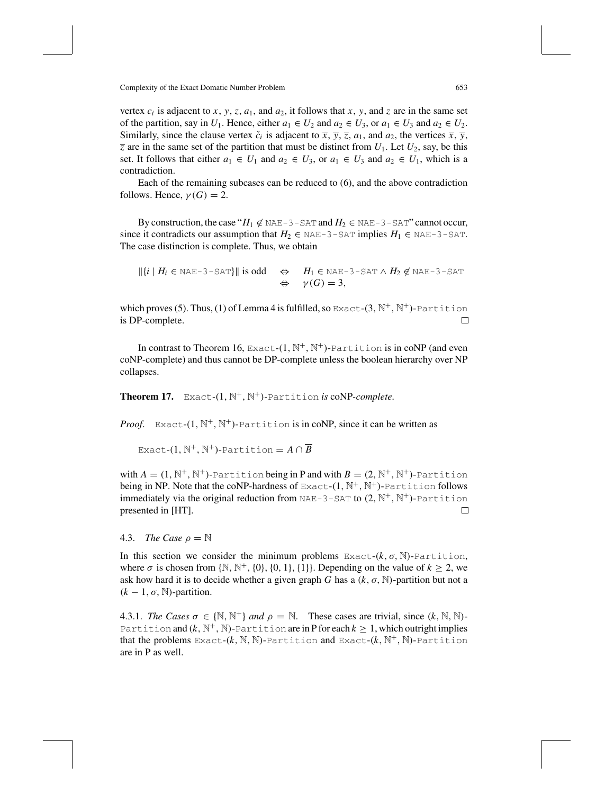vertex  $c_i$  is adjacent to *x*, *y*, *z*,  $a_1$ , and  $a_2$ , it follows that *x*, *y*, and *z* are in the same set of the partition, say in  $U_1$ . Hence, either  $a_1 \in U_2$  and  $a_2 \in U_3$ , or  $a_1 \in U_3$  and  $a_2 \in U_2$ . Similarly, since the clause vertex  $\check{c}_i$  is adjacent to  $\overline{x}$ ,  $\overline{y}$ ,  $\overline{z}$ ,  $a_1$ , and  $a_2$ , the vertices  $\overline{x}$ ,  $\overline{y}$ ,  $\overline{z}$  are in the same set of the partition that must be distinct from  $U_1$ . Let  $U_2$ , say, be this set. It follows that either  $a_1 \in U_1$  and  $a_2 \in U_3$ , or  $a_1 \in U_3$  and  $a_2 \in U_1$ , which is a contradiction.

Each of the remaining subcases can be reduced to (6), and the above contradiction follows. Hence,  $\gamma(G) = 2$ .

By construction, the case " $H_1 \notin \text{NAE-3-SAT}$  and  $H_2 \in \text{NAE-3-SAT}$ " cannot occur, since it contradicts our assumption that  $H_2 \in \text{NAE-3-SAT}$  implies  $H_1 \in \text{NAE-3-SAT}$ . The case distinction is complete. Thus, we obtain

 $||\{i \mid H_i \in \text{NAE-3-SAT}\}||$  is odd  $\Leftrightarrow$   $H_1 \in \text{NAE-3-SAT} \wedge H_2 \notin \text{NAE-3-SAT}$  $\nu(G) = 3$ ,

which proves (5). Thus, (1) of Lemma 4 is fulfilled, so  $\text{Exact-(3, N^+, N^+)}$ -Partition is DP-complete.  $\Box$ 

In contrast to Theorem 16, Exact- $(1, N^+, N^+)$ -Partition is in coNP (and even coNP-complete) and thus cannot be DP-complete unless the boolean hierarchy over NP collapses.

**Theorem 17.** Exact*-*(1, N<sup>+</sup>, N<sup>+</sup>)*-*Partition *is* coNP*-complete*.

*Proof.* Exact- $(1, \mathbb{N}^+, \mathbb{N}^+)$ -Partition is in coNP, since it can be written as

Exact- $(1, \mathbb{N}^+, \mathbb{N}^+)$ -Partition =  $A \cap \overline{B}$ 

with  $A = (1, \mathbb{N}^+, \mathbb{N}^+)$ -Partition being in P and with  $B = (2, \mathbb{N}^+, \mathbb{N}^+)$ -Partition being in NP. Note that the coNP-hardness of  $\text{Exact-}(1, \mathbb{N}^+, \mathbb{N}^+)$ -Partition follows immediately via the original reduction from NAE-3-SAT to  $(2, \mathbb{N}^+, \mathbb{N}^+)$ -Partition presented in [HT].  $\Box$ 

### 4.3. *The Case*  $\rho = \mathbb{N}$

In this section we consider the minimum problems  $\text{Exact-}(k, \sigma, \mathbb{N})$ -Partition, where  $\sigma$  is chosen from  $\{N, N^+, \{0\}, \{0, 1\}, \{1\}\}\$ . Depending on the value of  $k \ge 2$ , we ask how hard it is to decide whether a given graph *G* has a  $(k, \sigma, \mathbb{N})$ -partition but not a  $(k - 1, \sigma, \mathbb{N})$ -partition.

4.3.1. *The Cases*  $\sigma \in \{N, N^+\}$  *and*  $\rho = N$ . These cases are trivial, since  $(k, N, N)$ -Partition and  $(k, N^+, N)$ -Partition are in P for each  $k \geq 1$ , which outright implies that the problems Exact- $(k, N, N)$ -Partition and Exact- $(k, N^+, N)$ -Partition are in P as well.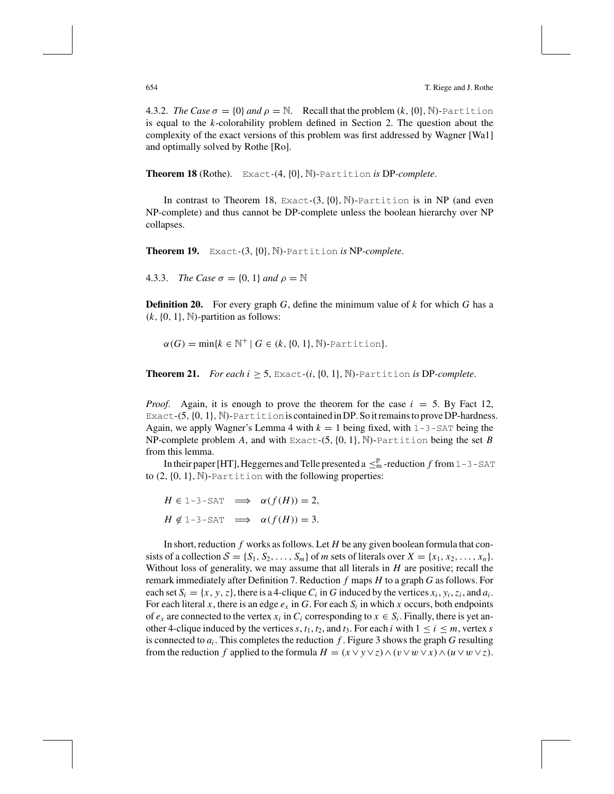4.3.2. *The Case*  $\sigma = \{0\}$  *and*  $\rho = \mathbb{N}$ . Recall that the problem  $(k, \{0\}, \mathbb{N})$ -Partition is equal to the *k*-colorability problem defined in Section 2. The question about the complexity of the exact versions of this problem was first addressed by Wagner [Wa1] and optimally solved by Rothe [Ro].

**Theorem 18** (Rothe). Exact*-*(4,{0}, N)*-*Partition *is* DP*-complete*.

In contrast to Theorem 18, Exact-(3,  $\{0\}$ , N)-Partition is in NP (and even NP-complete) and thus cannot be DP-complete unless the boolean hierarchy over NP collapses.

**Theorem 19.** Exact*-*(3,{0}, N)*-*Partition *is* NP*-complete*.

4.3.3. *The Case*  $\sigma = \{0, 1\}$  *and*  $\rho = \mathbb{N}$ 

**Definition 20.** For every graph *G*, define the minimum value of *k* for which *G* has a  $(k, \{0, 1\}, \mathbb{N})$ -partition as follows:

 $\alpha(G) = \min\{k \in \mathbb{N}^+ \mid G \in (k, \{0, 1\}, \mathbb{N})\}$ -Partition}.

**Theorem 21.** *For each i*  $\geq$  5, Exact-(*i*, {0, 1}, N)-Partition *is* DP-*complete*.

*Proof.* Again, it is enough to prove the theorem for the case  $i = 5$ . By Fact 12, Exact- $(5, \{0, 1\}, \mathbb{N})$ -Partition is contained in DP. So it remains to prove DP-hardness. Again, we apply Wagner's Lemma 4 with  $k = 1$  being fixed, with  $1 - 3 - SAT$  being the NP-complete problem *A*, and with Exact-(5,{0, 1}, N)-Partition being the set *B* from this lemma.

In their paper [HT], Heggernes and Telle presented a  $\leq^p_m$ -reduction f from 1-3-SAT to  $(2, \{0, 1\}, \mathbb{N})$ -Partition with the following properties:

 $H \in 1$ -3-SAT  $\implies \alpha(f(H)) = 2$ ,  $H \notin 1$ -3-SAT  $\implies \alpha(f(H)) = 3.$ 

In short, reduction *f* works as follows. Let *H* be any given boolean formula that consists of a collection  $S = \{S_1, S_2, \ldots, S_m\}$  of *m* sets of literals over  $X = \{x_1, x_2, \ldots, x_n\}$ . Without loss of generality, we may assume that all literals in *H* are positive; recall the remark immediately after Definition 7. Reduction *f* maps *H* to a graph *G* as follows. For each set  $S_i = \{x, y, z\}$ , there is a 4-clique  $C_i$  in G induced by the vertices  $x_i, y_i, z_i$ , and  $a_i$ . For each literal x, there is an edge  $e_x$  in G. For each  $S_i$  in which x occurs, both endpoints of  $e_x$  are connected to the vertex  $x_i$  in  $C_i$  corresponding to  $x \in S_i$ . Finally, there is yet another 4-clique induced by the vertices  $s$ ,  $t_1$ ,  $t_2$ , and  $t_3$ . For each *i* with  $1 \le i \le m$ , vertex *s* is connected to  $a_i$ . This completes the reduction  $f$ . Figure 3 shows the graph  $G$  resulting from the reduction *f* applied to the formula  $H = (x \lor y \lor z) \land (v \lor w \lor x) \land (u \lor w \lor z)$ .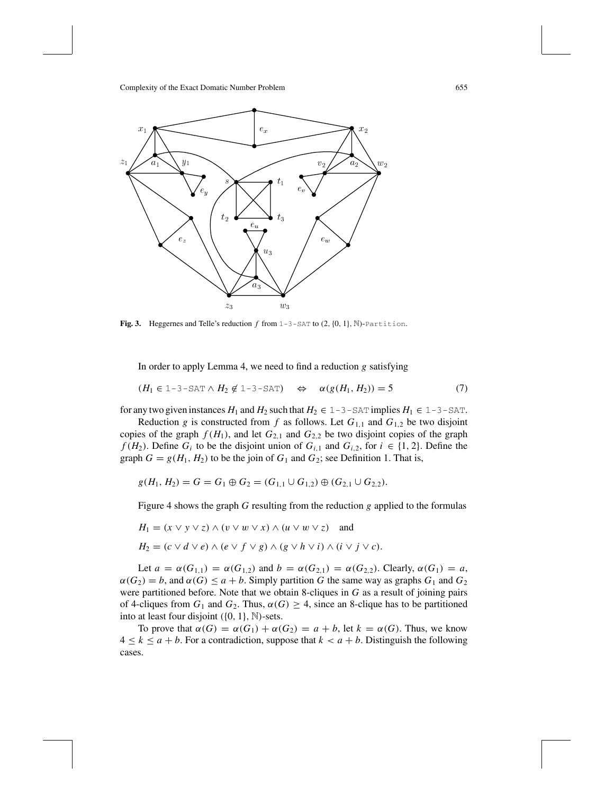

**Fig. 3.** Heggernes and Telle's reduction *f* from 1-3-SAT to (2,{0, 1}, N)-Partition.

In order to apply Lemma 4, we need to find a reduction *g* satisfying

$$
(H_1 \in 1-3-\text{SAT} \land H_2 \notin 1-3-\text{SAT}) \quad \Leftrightarrow \quad \alpha(g(H_1, H_2)) = 5 \tag{7}
$$

for any two given instances  $H_1$  and  $H_2$  such that  $H_2 \in 1-3$ -SAT implies  $H_1 \in 1-3$ -SAT.

Reduction *g* is constructed from *f* as follows. Let  $G_{1,1}$  and  $G_{1,2}$  be two disjoint copies of the graph  $f(H_1)$ , and let  $G_{2,1}$  and  $G_{2,2}$  be two disjoint copies of the graph *f* (*H*<sub>2</sub>). Define *G<sub>i</sub>* to be the disjoint union of *G<sub>i,1</sub>* and *G<sub>i,2</sub>*, for  $i \in \{1, 2\}$ . Define the graph  $G = g(H_1, H_2)$  to be the join of  $G_1$  and  $G_2$ ; see Definition 1. That is,

$$
g(H_1, H_2) = G = G_1 \oplus G_2 = (G_{1,1} \cup G_{1,2}) \oplus (G_{2,1} \cup G_{2,2}).
$$

Figure 4 shows the graph *G* resulting from the reduction *g* applied to the formulas

$$
H_1 = (x \lor y \lor z) \land (v \lor w \lor x) \land (u \lor w \lor z) \quad \text{and}
$$
  

$$
H_2 = (c \lor d \lor e) \land (e \lor f \lor g) \land (g \lor h \lor i) \land (i \lor j \lor c).
$$

Let  $a = \alpha(G_{1,1}) = \alpha(G_{1,2})$  and  $b = \alpha(G_{2,1}) = \alpha(G_{2,2})$ . Clearly,  $\alpha(G_1) = a$ ,  $\alpha(G_2) = b$ , and  $\alpha(G) \le a + b$ . Simply partition *G* the same way as graphs  $G_1$  and  $G_2$ were partitioned before. Note that we obtain 8-cliques in *G* as a result of joining pairs of 4-cliques from  $G_1$  and  $G_2$ . Thus,  $\alpha(G) \geq 4$ , since an 8-clique has to be partitioned into at least four disjoint  $({0, 1}, \mathbb{N})$ -sets.

To prove that  $\alpha(G) = \alpha(G_1) + \alpha(G_2) = a + b$ , let  $k = \alpha(G)$ . Thus, we know  $4 \leq k \leq a + b$ . For a contradiction, suppose that  $k < a + b$ . Distinguish the following cases.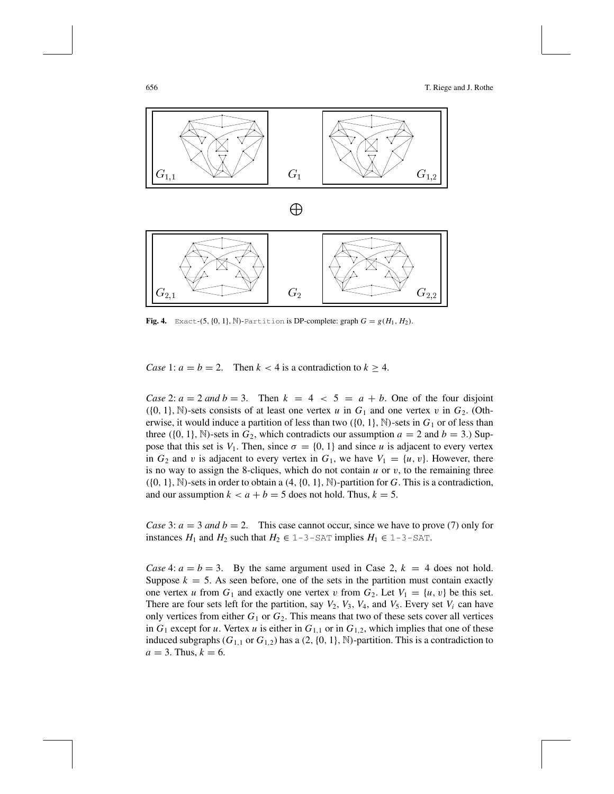

**Fig. 4.** Exact-(5, {0, 1}, N}-Partition is DP-complete: graph  $G = g(H_1, H_2)$ .

*Case* 1:  $a = b = 2$ . Then  $k < 4$  is a contradiction to  $k \ge 4$ .

*Case* 2:  $a = 2$  *and*  $b = 3$ . Then  $k = 4 < 5 = a + b$ . One of the four disjoint  $(\{0, 1\}, \mathbb{N})$ -sets consists of at least one vertex *u* in  $G_1$  and one vertex *v* in  $G_2$ . (Otherwise, it would induce a partition of less than two  $(\{0, 1\}, \mathbb{N})$ -sets in  $G_1$  or of less than three ({0, 1}, N}-sets in  $G_2$ , which contradicts our assumption  $a = 2$  and  $b = 3$ .) Suppose that this set is  $V_1$ . Then, since  $\sigma = \{0, 1\}$  and since *u* is adjacent to every vertex in  $G_2$  and v is adjacent to every vertex in  $G_1$ , we have  $V_1 = \{u, v\}$ . However, there is no way to assign the 8-cliques, which do not contain  $u$  or  $v$ , to the remaining three ({0, 1}, N)-sets in order to obtain a (4,{0, 1}, N)-partition for *G*. This is a contradiction, and our assumption  $k < a + b = 5$  does not hold. Thus,  $k = 5$ .

*Case* 3:  $a = 3$  *and*  $b = 2$ . This case cannot occur, since we have to prove (7) only for instances *H*<sub>1</sub> and *H*<sub>2</sub> such that *H*<sub>2</sub>  $\in$  1-3-SAT implies *H*<sub>1</sub>  $\in$  1-3-SAT.

*Case* 4:  $a = b = 3$ . By the same argument used in Case 2,  $k = 4$  does not hold. Suppose  $k = 5$ . As seen before, one of the sets in the partition must contain exactly one vertex *u* from  $G_1$  and exactly one vertex *v* from  $G_2$ . Let  $V_1 = \{u, v\}$  be this set. There are four sets left for the partition, say  $V_2$ ,  $V_3$ ,  $V_4$ , and  $V_5$ . Every set  $V_i$  can have only vertices from either  $G_1$  or  $G_2$ . This means that two of these sets cover all vertices in  $G_1$  except for *u*. Vertex *u* is either in  $G_{1,1}$  or in  $G_{1,2}$ , which implies that one of these induced subgraphs  $(G_{1,1}$  or  $G_{1,2}$ ) has a  $(2, \{0, 1\}, \mathbb{N})$ -partition. This is a contradiction to  $a = 3$ . Thus,  $k = 6$ .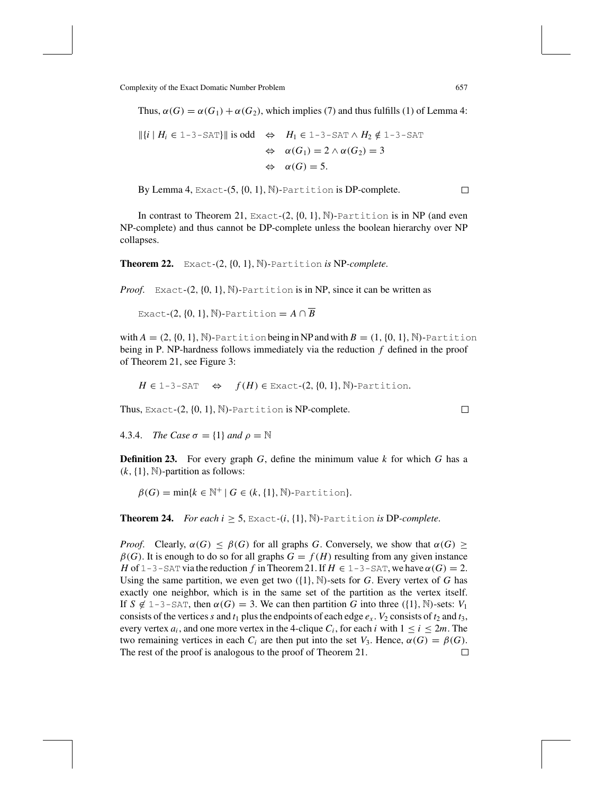Thus,  $\alpha(G) = \alpha(G_1) + \alpha(G_2)$ , which implies (7) and thus fulfills (1) of Lemma 4:

$$
\|\{i \mid H_i \in 1-3-\text{SAT}\}\| \text{ is odd} \Leftrightarrow H_1 \in 1-3-\text{SAT} \land H_2 \notin 1-3-\text{SAT}
$$

$$
\Leftrightarrow \alpha(G_1) = 2 \land \alpha(G_2) = 3
$$

$$
\Leftrightarrow \alpha(G) = 5.
$$

By Lemma 4, Exact- $(5, \{0, 1\}, N)$ -Partition is DP-complete.

In contrast to Theorem 21, Exact- $(2, \{0, 1\}, \mathbb{N})$ -Partition is in NP (and even NP-complete) and thus cannot be DP-complete unless the boolean hierarchy over NP collapses.

**Theorem 22.** Exact*-*(2,{0, 1}, N)*-*Partition *is* NP*-complete*.

*Proof.* Exact-(2, {0, 1}, N)-Partition is in NP, since it can be written as

Exact- $(2, \{0, 1\}, \mathbb{N})$ -Partition =  $A \cap \overline{B}$ 

with  $A = (2, \{0, 1\}, N)$ -Partition being in NP and with  $B = (1, \{0, 1\}, N)$ -Partition being in P. NP-hardness follows immediately via the reduction *f* defined in the proof of Theorem 21, see Figure 3:

 $H \in 1$ -3-SAT  $\Leftrightarrow$   $f(H) \in$  Exact- $(2, \{0, 1\}, \mathbb{N})$ -Partition.

Thus, Exact- $(2, \{0, 1\}, \mathbb{N})$ -Partition is NP-complete.

4.3.4. *The Case*  $\sigma = \{1\}$  *and*  $\rho = \mathbb{N}$ 

**Definition 23.** For every graph *G*, define the minimum value *k* for which *G* has a  $(k, \{1\}, \mathbb{N})$ -partition as follows:

 $\beta(G) = \min\{k \in \mathbb{N}^+ \mid G \in (k, \{1\}, \mathbb{N})\}$ -Partition}.

**Theorem 24.** *For each i*  $\geq$  5, Exact-(*i*, {1}, N)-Partition *is* DP-*complete*.

*Proof.* Clearly,  $\alpha(G) \leq \beta(G)$  for all graphs *G*. Conversely, we show that  $\alpha(G) \geq$  $\beta(G)$ . It is enough to do so for all graphs  $G = f(H)$  resulting from any given instance *H* of 1-3-SAT via the reduction *f* in Theorem 21. If  $H \in 1-3$ -SAT, we have  $\alpha(G) = 2$ . Using the same partition, we even get two ({1}, N)-sets for *G*. Every vertex of *G* has exactly one neighbor, which is in the same set of the partition as the vertex itself. If  $S \notin 1$ -3-SAT, then  $\alpha(G) = 3$ . We can then partition *G* into three ({1}, N)-sets: *V*<sub>1</sub> consists of the vertices *s* and  $t_1$  plus the endpoints of each edge  $e_x$ .  $V_2$  consists of  $t_2$  and  $t_3$ , every vertex  $a_i$ , and one more vertex in the 4-clique  $C_i$ , for each *i* with  $1 \le i \le 2m$ . The two remaining vertices in each  $C_i$  are then put into the set  $V_3$ . Hence,  $\alpha(G) = \beta(G)$ . The rest of the proof is analogous to the proof of Theorem 21.П

 $\Box$ 

 $\Box$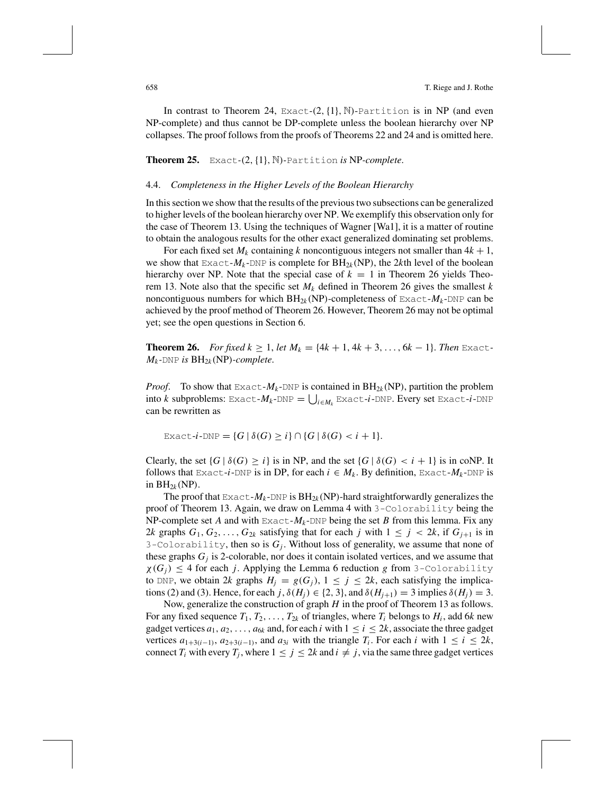In contrast to Theorem 24,  $Exact-(2, {1}, N)$ -Partition is in NP (and even NP-complete) and thus cannot be DP-complete unless the boolean hierarchy over NP collapses. The proof follows from the proofs of Theorems 22 and 24 and is omitted here.

### **Theorem 25.** Exact*-*(2,{1}, N)*-*Partition *is* NP*-complete*.

### 4.4. *Completeness in the Higher Levels of the Boolean Hierarchy*

In this section we show that the results of the previous two subsections can be generalized to higher levels of the boolean hierarchy over NP. We exemplify this observation only for the case of Theorem 13. Using the techniques of Wagner [Wa1], it is a matter of routine to obtain the analogous results for the other exact generalized dominating set problems.

For each fixed set  $M_k$  containing k noncontiguous integers not smaller than  $4k + 1$ , we show that  $\text{Exact-}M_k$ -DNP is complete for  $BH_{2k}(NP)$ , the 2*k*th level of the boolean hierarchy over NP. Note that the special case of  $k = 1$  in Theorem 26 yields Theorem 13. Note also that the specific set  $M_k$  defined in Theorem 26 gives the smallest  $k$ noncontiguous numbers for which  $BH_{2k}(NP)$ -completeness of  $Exact-M_k$ -DNP can be achieved by the proof method of Theorem 26. However, Theorem 26 may not be optimal yet; see the open questions in Section 6.

**Theorem 26.** *For fixed k* ≥ 1, *let*  $M_k = \{4k + 1, 4k + 3, ..., 6k - 1\}$ . *Then* Exact- $M_k$ -DNP *is*  $BH_{2k}$ (NP)-complete.

*Proof.* To show that  $\text{Exact-}M_k$ -DNP is contained in  $BH_{2k}(NP)$ , partition the problem  $\mathcal{L}_{i}$ into  $k$  subproblems: Exact- $M_k$ -DNP  $= \bigcup_{i \in M_k}$  Exact- $i$ -DNP. Every set Exact- $i$ -DNP can be rewritten as

$$
\text{Exact-}i\text{-DNP} = \{G \mid \delta(G) \geq i\} \cap \{G \mid \delta(G) < i+1\}.
$$

Clearly, the set  $\{G \mid \delta(G) \geq i\}$  is in NP, and the set  $\{G \mid \delta(G) < i + 1\}$  is in coNP. It follows that Exact-*i*-DNP is in DP, for each  $i \in M_k$ . By definition, Exact- $M_k$ -DNP is in  $BH_{2k}(NP)$ .

The proof that  $\text{Exact}-M_k$ -DNP is  $BH_{2k}(NP)$ -hard straightforwardly generalizes the proof of Theorem 13. Again, we draw on Lemma 4 with 3-Colorability being the NP-complete set *A* and with  $\text{Exact}-M_k$ -DNP being the set *B* from this lemma. Fix any 2*k* graphs  $G_1, G_2, \ldots, G_{2k}$  satisfying that for each *j* with  $1 \leq j \leq 2k$ , if  $G_{j+1}$  is in 3-Colorability, then so is  $G_j$ . Without loss of generality, we assume that none of these graphs  $G_i$  is 2-colorable, nor does it contain isolated vertices, and we assume that  $\chi(G_i) \leq 4$  for each *j*. Applying the Lemma 6 reduction *g* from 3-Colorability to DNP, we obtain 2*k* graphs  $H<sub>j</sub> = g(G<sub>j</sub>)$ ,  $1 \le j \le 2k$ , each satisfying the implications (2) and (3). Hence, for each  $j$ ,  $\delta(H_i) \in \{2, 3\}$ , and  $\delta(H_{i+1}) = 3$  implies  $\delta(H_i) = 3$ .

Now, generalize the construction of graph *H* in the proof of Theorem 13 as follows. For any fixed sequence  $T_1, T_2, \ldots, T_{2k}$  of triangles, where  $T_i$  belongs to  $H_i$ , add 6*k* new gadget vertices  $a_1, a_2, \ldots, a_{6k}$  and, for each *i* with  $1 \le i \le 2k$ , associate the three gadget vertices  $a_{1+3(i-1)}$ ,  $a_{2+3(i-1)}$ , and  $a_{3i}$  with the triangle  $T_i$ . For each *i* with  $1 \le i \le 2k$ , connect  $T_i$  with every  $T_j$ , where  $1 \leq j \leq 2k$  and  $i \neq j$ , via the same three gadget vertices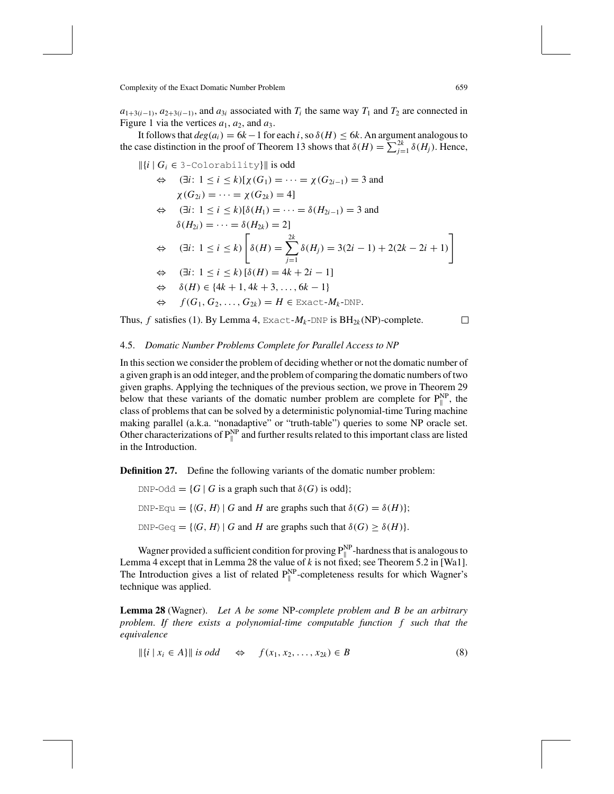$a_{1+3(i-1)}$ ,  $a_{2+3(i-1)}$ , and  $a_{3i}$  associated with  $T_i$  the same way  $T_1$  and  $T_2$  are connected in Figure 1 via the vertices  $a_1$ ,  $a_2$ , and  $a_3$ .

It follows that  $deg(a_i) = 6k - 1$  for each *i*, so  $\delta(H) \leq 6k$ . An argument analogous to the case distinction in the proof of Theorem 13 shows that  $\delta(H) = \sum_{j=1}^{2k} \delta(H_j)$ . Hence,

$$
||\{i \mid G_i \in 3\text{-Colorability}\}|| \text{ is odd}
$$
  
\n
$$
\Leftrightarrow (\exists i: 1 \le i \le k) [\chi(G_1) = \dots = \chi(G_{2i-1}) = 3 \text{ and}
$$
  
\n
$$
\chi(G_{2i}) = \dots = \chi(G_{2k}) = 4]
$$
  
\n
$$
\Leftrightarrow (\exists i: 1 \le i \le k) [\delta(H_1) = \dots = \delta(H_{2i-1}) = 3 \text{ and}
$$
  
\n
$$
\delta(H_{2i}) = \dots = \delta(H_{2k}) = 2]
$$
  
\n
$$
\Leftrightarrow (\exists i: 1 \le i \le k) \left[\delta(H) = \sum_{j=1}^{2k} \delta(H_j) = 3(2i - 1) + 2(2k - 2i + 1) \right]
$$
  
\n
$$
\Leftrightarrow (\exists i: 1 \le i \le k) [\delta(H) = 4k + 2i - 1]
$$
  
\n
$$
\Leftrightarrow \delta(H) \in \{4k + 1, 4k + 3, \dots, 6k - 1\}
$$
  
\n
$$
\Leftrightarrow f(G_1, G_2, \dots, G_{2k}) = H \in \text{Exact-}M_k\text{-DNP}.
$$

Thus, *f* satisfies (1). By Lemma 4, Exact- $M_k$ -DNP is  $BH_{2k}(NP)$ -complete.

 $\Box$ 

# 4.5. *Domatic Number Problems Complete for Parallel Access to NP*

In this section we consider the problem of deciding whether or not the domatic number of a given graph is an odd integer, and the problem of comparing the domatic numbers of two given graphs. Applying the techniques of the previous section, we prove in Theorem 29 below that these variants of the domatic number problem are complete for  $P_{\parallel}^{NP}$ , the class of problems that can be solved by a deterministic polynomial-time Turing machine making parallel (a.k.a. "nonadaptive" or "truth-table") queries to some NP oracle set. Other characterizations of  $P_{\parallel}^{NP}$  and further results related to this important class are listed in the Introduction.

**Definition 27.** Define the following variants of the domatic number problem:

DNP-Odd =  $\{G \mid G$  is a graph such that  $\delta(G)$  is odd}; DNP-Equ =  $\{ \langle G, H \rangle \mid G \text{ and } H \text{ are graphs such that } \delta(G) = \delta(H) \};$ DNP-Geq =  $\{(G, H) | G \text{ and } H \text{ are graphs such that } \delta(G) \geq \delta(H)\}.$ 

Wagner provided a sufficient condition for proving  $P_{\parallel}^{NP}$ -hardness that is analogous to Lemma 4 except that in Lemma 28 the value of *k* is not fixed; see Theorem 5.2 in [Wa1]. The Introduction gives a list of related  $P_{\parallel}^{NP}$ -completeness results for which Wagner's technique was applied.

**Lemma 28** (Wagner). *Let A be some* NP*-complete problem and B be an arbitrary problem*. *If there exists a polynomial-time computable function f such that the equivalence*

$$
\|\{i \mid x_i \in A\}\| \text{ is odd} \quad \Leftrightarrow \quad f(x_1, x_2, \dots, x_{2k}) \in B \tag{8}
$$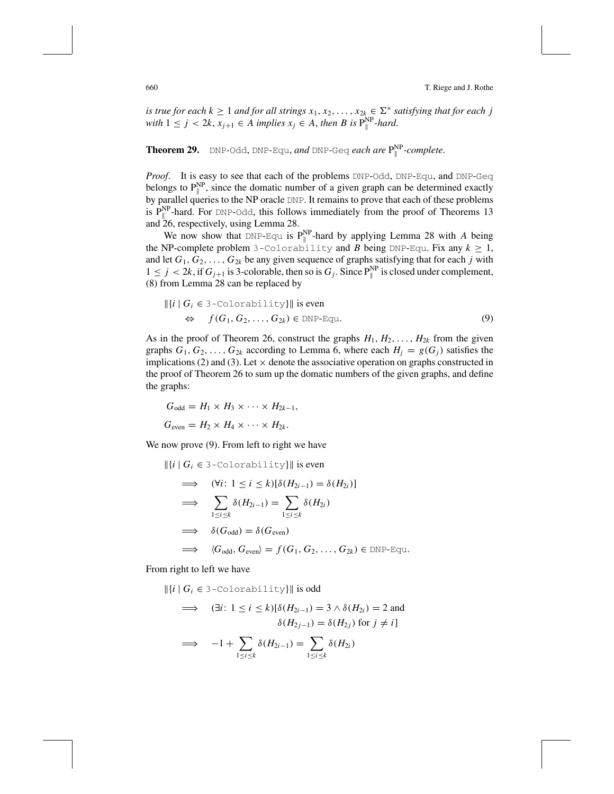*is true for each k*  $\geq 1$  *and for all strings*  $x_1, x_2, ..., x_{2k} \in \Sigma^*$  *satisfying that for each j with*  $1 \leq j < 2k$ ,  $x_{j+1} \in A$  *implies*  $x_j \in A$ , *then B is*  $P_{\parallel}^{NP}$ *-hard.* 

**Theorem 29.** DNP*-*Odd, DNP*-*Equ, *and* DNP*-*Geq *each are* PNP *-complete*.

*Proof*. It is easy to see that each of the problems DNP-Odd, DNP-Equ, and DNP-Geq belongs to  $P_{\parallel}^{NP}$ , since the domatic number of a given graph can be determined exactly by parallel queries to the NP oracle DNP. It remains to prove that each of these problems is  $P_{\parallel}^{NP}$ -hard. For DNP-Odd, this follows immediately from the proof of Theorems 13 and 26, respectively, using Lemma 28.

We now show that DNP-Equ is  $P_{\parallel}^{NP}$ -hard by applying Lemma 28 with *A* being the NP-complete problem 3-Colorability and *B* being DNP-Equ. Fix any  $k \geq 1$ , and let  $G_1, G_2, \ldots, G_{2k}$  be any given sequence of graphs satisfying that for each *j* with  $1 \leq j < 2k$ , if  $G_{j+1}$  is 3-colorable, then so is  $G_j$ . Since  $P_{\parallel}^{NP}$  is closed under complement, (8) from Lemma 28 can be replaced by

$$
||\{i \mid G_i \in \text{3-Colorability}\}|| \text{ is even}
$$
  
\n
$$
\Leftrightarrow f(G_1, G_2, \dots, G_{2k}) \in \text{DNP-Equ.}
$$
\n(9)

As in the proof of Theorem 26, construct the graphs  $H_1, H_2, \ldots, H_{2k}$  from the given graphs  $G_1, G_2, \ldots, G_{2k}$  according to Lemma 6, where each  $H_i = g(G_i)$  satisfies the implications (2) and (3). Let  $\times$  denote the associative operation on graphs constructed in the proof of Theorem 26 to sum up the domatic numbers of the given graphs, and define the graphs:

$$
G_{\text{odd}} = H_1 \times H_3 \times \cdots \times H_{2k-1},
$$
  

$$
G_{\text{even}} = H_2 \times H_4 \times \cdots \times H_{2k}.
$$

We now prove (9). From left to right we have

$$
\begin{aligned}\n\|\{i \mid G_i \in \mathbb{3}\text{-Colorability}\}\| &\text{ is even} \\
&\implies (\forall i: 1 \le i \le k)[\delta(H_{2i-1}) = \delta(H_{2i})] \\
&\implies \sum_{1 \le i \le k} \delta(H_{2i-1}) = \sum_{1 \le i \le k} \delta(H_{2i}) \\
&\implies \delta(G_{\text{odd}}) = \delta(G_{\text{even}}) \\
&\implies \langle G_{\text{odd}}, G_{\text{even}} \rangle = f(G_1, G_2, \dots, G_{2k}) \in \text{DNP-Equ.}\n\end{aligned}
$$

From right to left we have

 $\|\{i \mid G_i \in \mathbb{R}$ -Colorability} $\|\$  is odd

$$
\implies (\exists i: 1 \le i \le k)[\delta(H_{2i-1}) = 3 \land \delta(H_{2i}) = 2 \text{ and}
$$

$$
\delta(H_{2j-1}) = \delta(H_{2j}) \text{ for } j \ne i]
$$

$$
\implies -1 + \sum_{1 \le i \le k} \delta(H_{2i-1}) = \sum_{1 \le i \le k} \delta(H_{2i})
$$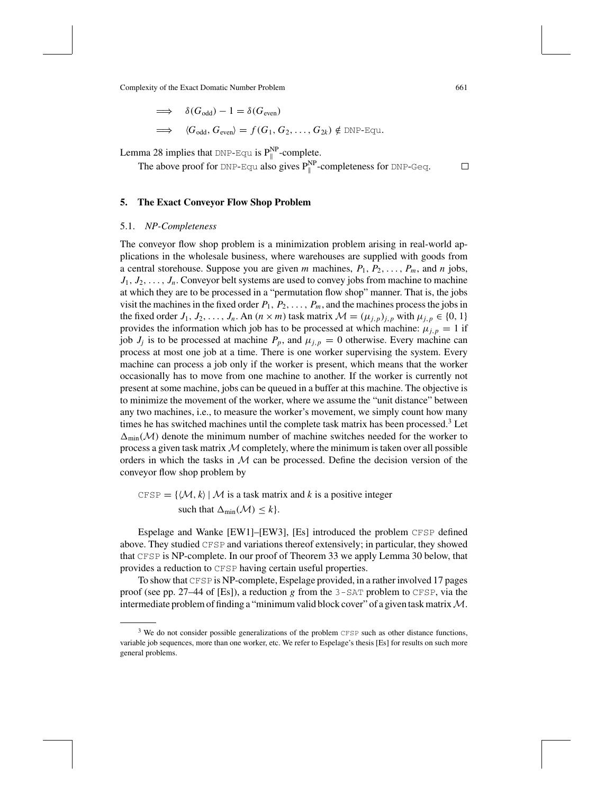$$
\implies \delta(G_{\text{odd}}) - 1 = \delta(G_{\text{even}})
$$
  

$$
\implies \langle G_{\text{odd}}, G_{\text{even}} \rangle = f(G_1, G_2, \dots, G_{2k}) \notin \text{DNP-Equ.}
$$

Lemma 28 implies that DNP-Equ is  $P_{\parallel}^{NP}$ -complete.

The above proof for DNP-Equ also gives  $P_{\parallel}^{NP}$ -completeness for DNP-Geq.

# **5. The Exact Conveyor Flow Shop Problem**

# 5.1. *NP-Completeness*

The conveyor flow shop problem is a minimization problem arising in real-world applications in the wholesale business, where warehouses are supplied with goods from a central storehouse. Suppose you are given *m* machines,  $P_1, P_2, \ldots, P_m$ , and *n* jobs,  $J_1, J_2, \ldots, J_n$ . Conveyor belt systems are used to convey jobs from machine to machine at which they are to be processed in a "permutation flow shop" manner. That is, the jobs visit the machines in the fixed order  $P_1, P_2, \ldots, P_m$ , and the machines process the jobs in the fixed order  $J_1, J_2, \ldots, J_n$ . An  $(n \times m)$  task matrix  $\mathcal{M} = (\mu_{j,p})_{j,p}$  with  $\mu_{j,p} \in \{0, 1\}$ provides the information which job has to be processed at which machine:  $\mu_{j,p} = 1$  if job  $J_i$  is to be processed at machine  $P_p$ , and  $\mu_{i,p} = 0$  otherwise. Every machine can process at most one job at a time. There is one worker supervising the system. Every machine can process a job only if the worker is present, which means that the worker occasionally has to move from one machine to another. If the worker is currently not present at some machine, jobs can be queued in a buffer at this machine. The objective is to minimize the movement of the worker, where we assume the "unit distance" between any two machines, i.e., to measure the worker's movement, we simply count how many times he has switched machines until the complete task matrix has been processed. $3$  Let  $\Delta_{\text{min}}(\mathcal{M})$  denote the minimum number of machine switches needed for the worker to process a given task matrix  $M$  completely, where the minimum is taken over all possible orders in which the tasks in  $M$  can be processed. Define the decision version of the conveyor flow shop problem by

CFSP =  $\{\langle M, k \rangle \mid M$  is a task matrix and k is a positive integer such that  $\Delta_{\min}(\mathcal{M}) \leq k$ .

Espelage and Wanke [EW1]–[EW3], [Es] introduced the problem CFSP defined above. They studied CFSP and variations thereof extensively; in particular, they showed that CFSP is NP-complete. In our proof of Theorem 33 we apply Lemma 30 below, that provides a reduction to CFSP having certain useful properties.

To show that CFSP is NP-complete, Espelage provided, in a rather involved 17 pages proof (see pp. 27–44 of [Es]), a reduction *g* from the 3-SAT problem to CFSP, via the intermediate problem of finding a "minimum valid block cover" of a given task matrix  $M$ .

 $\Box$ 

<sup>&</sup>lt;sup>3</sup> We do not consider possible generalizations of the problem CFSP such as other distance functions, variable job sequences, more than one worker, etc. We refer to Espelage's thesis [Es] for results on such more general problems.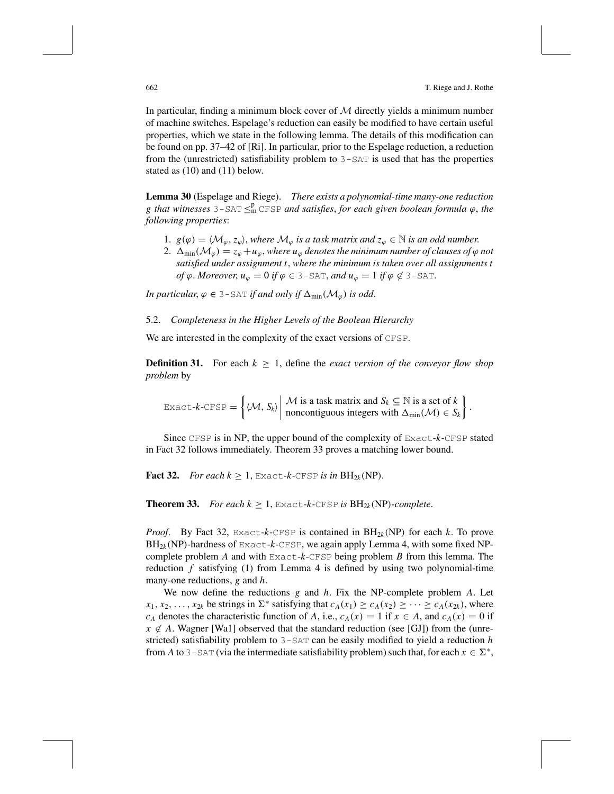In particular, finding a minimum block cover of  $M$  directly yields a minimum number of machine switches. Espelage's reduction can easily be modified to have certain useful properties, which we state in the following lemma. The details of this modification can be found on pp. 37–42 of [Ri]. In particular, prior to the Espelage reduction, a reduction from the (unrestricted) satisfiability problem to 3-SAT is used that has the properties stated as (10) and (11) below.

**Lemma 30** (Espelage and Riege). *There exists a polynomial-time many-one reduction g that witnesses* 3-SAT ≤<sup>*p*</sup><sub>m</sub> CFSP *and satisfies, for each given boolean formula ϕ*, *the following properties*:

- 1.  $g(\varphi) = \langle \mathcal{M}_{\varphi}, z_{\varphi} \rangle$ , where  $\mathcal{M}_{\varphi}$  *is a task matrix and*  $z_{\varphi} \in \mathbb{N}$  *is an odd number.*
- 2.  $\Delta_{\min}(\mathcal{M}_{\varphi}) = z_{\varphi} + u_{\varphi}$ , *where*  $u_{\varphi}$  *denotes the minimum number of clauses of*  $\varphi$  *not satisfied under assignment t*, *where the minimum is taken over all assignments t of*  $\varphi$ *. Moreover,*  $u_{\varphi} = 0$  *if*  $\varphi \in 3$  - SAT, *and*  $u_{\varphi} = 1$  *if*  $\varphi \notin 3$  - SAT.

*In particular,*  $\varphi \in 3$  - SAT *if and only if*  $\Delta_{\min}(\mathcal{M}_{\varphi})$  *is odd.* 

5.2. *Completeness in the Higher Levels of the Boolean Hierarchy*

We are interested in the complexity of the exact versions of CFSP.

**Definition 31.** For each  $k \geq 1$ , define the *exact version of the conveyor flow shop problem* by

Exact-*k*-CFSP =  $\left\{ \langle M, S_k \rangle \middle| \begin{array}{l} \mathcal{M} \text{ is a task matrix and } S_k \subseteq \mathbb{N} \text{ is a set of } k \\ \text{noncontiguous integers with } \Delta_{\min}(\mathcal{M}) \in S_k \end{array} \right\}$  $\Big\} .$ 

Since CFSP is in NP, the upper bound of the complexity of Exact-*k*-CFSP stated in Fact 32 follows immediately. Theorem 33 proves a matching lower bound.

**Fact 32.** *For each*  $k \geq 1$ , Exact- $k$ -CFSP *is in* BH<sub>2k</sub>(NP).

**Theorem 33.** *For each k*  $\geq 1$ , Exact-*k*-CFSP *is*  $BH_{2k}(NP)$ *-complete.* 

*Proof.* By Fact 32, Exact-*k*-CFSP is contained in  $BH_{2k}(NP)$  for each *k*. To prove  $BH_{2k}(NP)$ -hardness of Exact- $k$ -CFSP, we again apply Lemma 4, with some fixed NPcomplete problem *A* and with Exact-*k*-CFSP being problem *B* from this lemma. The reduction *f* satisfying (1) from Lemma 4 is defined by using two polynomial-time many-one reductions, *g* and *h*.

We now define the reductions *g* and *h*. Fix the NP-complete problem *A*. Let  $x_1, x_2, \ldots, x_{2k}$  be strings in  $\Sigma^*$  satisfying that  $c_A(x_1) \ge c_A(x_2) \ge \cdots \ge c_A(x_{2k})$ , where *c<sub>A</sub>* denotes the characteristic function of *A*, i.e.,  $c_A(x) = 1$  if  $x \in A$ , and  $c_A(x) = 0$  if  $x \notin A$ . Wagner [Wa1] observed that the standard reduction (see [GJ]) from the (unrestricted) satisfiability problem to 3-SAT can be easily modified to yield a reduction *h* from *A* to 3-SAT (via the intermediate satisfiability problem) such that, for each  $x \in \Sigma^*$ ,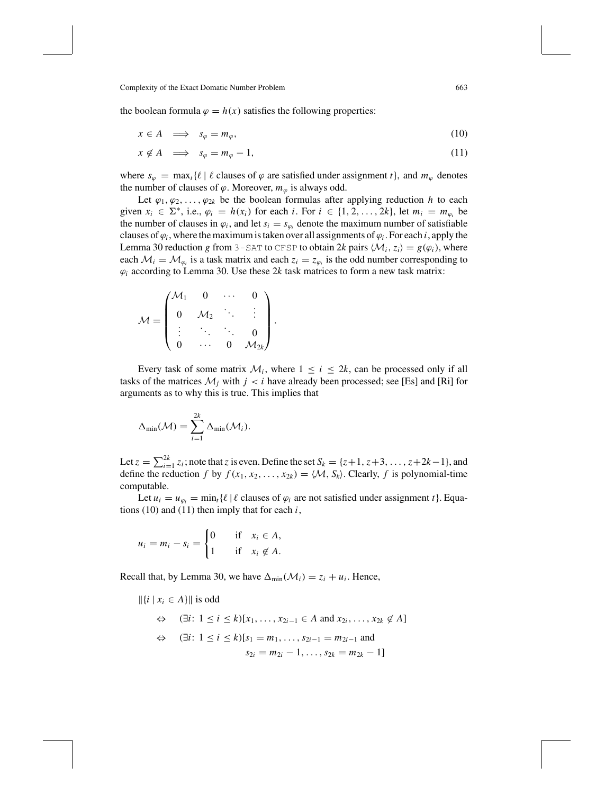the boolean formula  $\varphi = h(x)$  satisfies the following properties:

$$
x \in A \implies s_{\varphi} = m_{\varphi}, \tag{10}
$$

$$
x \notin A \implies s_{\varphi} = m_{\varphi} - 1,\tag{11}
$$

where  $s_{\varphi} = \max_{t} {\{\ell \mid \ell \text{ clauses of } \varphi \text{ are satisfied under assignment } t\}, \text{ and } m_{\varphi} \text{ denotes}}$ the number of clauses of  $\varphi$ . Moreover,  $m_{\varphi}$  is always odd.

Let  $\varphi_1, \varphi_2, \ldots, \varphi_{2k}$  be the boolean formulas after applying reduction *h* to each given  $x_i \in \Sigma^*$ , i.e.,  $\varphi_i = h(x_i)$  for each *i*. For  $i \in \{1, 2, ..., 2k\}$ , let  $m_i = m_{\varphi_i}$  be the number of clauses in  $\varphi_i$ , and let  $s_i = s_{\varphi_i}$  denote the maximum number of satisfiable clauses of  $\varphi_i$ , where the maximum is taken over all assignments of  $\varphi_i$ . For each *i*, apply the Lemma 30 reduction *g* from 3-SAT to CFSP to obtain 2*k* pairs  $\langle M_i, z_i \rangle = g(\varphi_i)$ , where each  $M_i = M_{\varphi_i}$  is a task matrix and each  $z_i = z_{\varphi_i}$  is the odd number corresponding to  $\varphi_i$  according to Lemma 30. Use these 2*k* task matrices to form a new task matrix:

$$
\mathcal{M} = \begin{pmatrix} \mathcal{M}_1 & 0 & \cdots & 0 \\ 0 & \mathcal{M}_2 & \ddots & \vdots \\ \vdots & \ddots & \ddots & 0 \\ 0 & \cdots & 0 & \mathcal{M}_{2k} \end{pmatrix}.
$$

Every task of some matrix  $M_i$ , where  $1 \le i \le 2k$ , can be processed only if all tasks of the matrices  $M_j$  with  $j < i$  have already been processed; see [Es] and [Ri] for arguments as to why this is true. This implies that

$$
\Delta_{\min}(\mathcal{M}) = \sum_{i=1}^{2k} \Delta_{\min}(\mathcal{M}_i).
$$

Let  $z = \sum_{i=1}^{2k} z_i$ ; note that *z* is even. Define the set  $S_k = \{z+1, z+3, \ldots, z+2k-1\}$ , and define the reduction *f* by  $f(x_1, x_2, ..., x_{2k}) = \langle M, S_k \rangle$ . Clearly, *f* is polynomial-time computable.

Let  $u_i = u_{\varphi_i} = \min_t {\{\ell \mid \ell \text{ clauses of } \varphi_i \text{ are not satisfied under assignment } t\}.$  Equations (10) and (11) then imply that for each *i*,

$$
u_i = m_i - s_i = \begin{cases} 0 & \text{if } x_i \in A, \\ 1 & \text{if } x_i \notin A. \end{cases}
$$

Recall that, by Lemma 30, we have  $\Delta_{\text{min}}(\mathcal{M}_i) = z_i + u_i$ . Hence,

$$
||\{i \mid x_i \in A\}|| \text{ is odd}
$$
  
\n⇒  $(\exists i: 1 \le i \le k)[x_1, ..., x_{2i-1} \in A \text{ and } x_{2i}, ..., x_{2k} \notin A]$   
\n⇒  $(\exists i: 1 \le i \le k)[s_1 = m_1, ..., s_{2i-1} = m_{2i-1} \text{ and } s_{2i} = m_{2i} - 1, ..., s_{2k} = m_{2k} - 1]$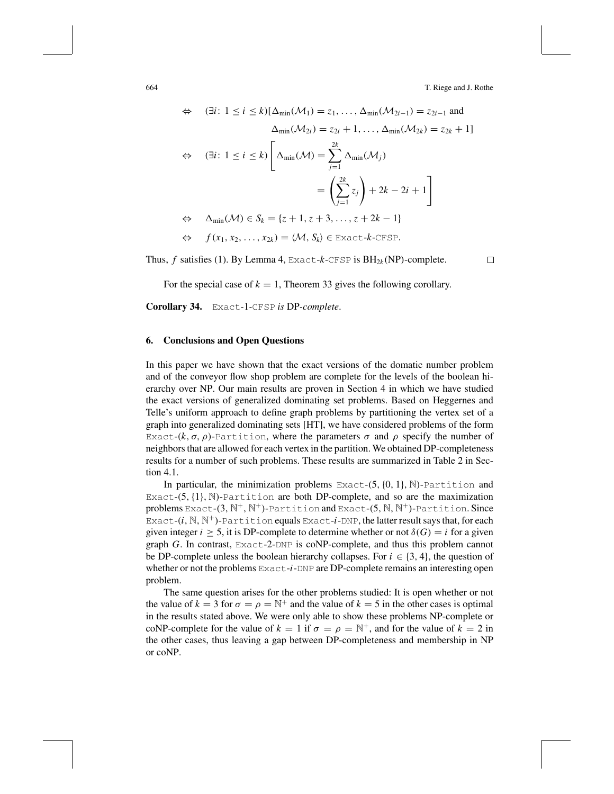664 T. Riege and J. Rothe

$$
\Leftrightarrow \quad (\exists i: 1 \le i \le k)[\Delta_{\min}(\mathcal{M}_1) = z_1, \dots, \Delta_{\min}(\mathcal{M}_{2i-1}) = z_{2i-1} \text{ and}
$$
\n
$$
\Delta_{\min}(\mathcal{M}_{2i}) = z_{2i} + 1, \dots, \Delta_{\min}(\mathcal{M}_{2k}) = z_{2k} + 1]
$$
\n
$$
\Leftrightarrow \quad (\exists i: 1 \le i \le k) \left[ \Delta_{\min}(\mathcal{M}) = \sum_{j=1}^{2k} \Delta_{\min}(\mathcal{M}_j) \right]
$$
\n
$$
= \left( \sum_{j=1}^{2k} z_j \right) + 2k - 2i + 1
$$
\n
$$
\Leftrightarrow \Delta_{\min}(\mathcal{M}) \in S_k = \{z + 1, z + 3, \dots, z + 2k - 1\}
$$
\n
$$
\Leftrightarrow f(x_1, x_2, \dots, x_{2k}) = \langle \mathcal{M}, S_k \rangle \in \text{Exact-}k\text{-CFSP.}
$$

Thus,  $f$  satisfies (1). By Lemma 4, Exact- $k$ -CFSP is  $BH_{2k}(NP)$ -complete.

 $\Box$ 

For the special case of  $k = 1$ , Theorem 33 gives the following corollary.

**Corollary 34.** Exact*-*1*-*CFSP *is* DP*-complete*.

# **6. Conclusions and Open Questions**

In this paper we have shown that the exact versions of the domatic number problem and of the conveyor flow shop problem are complete for the levels of the boolean hierarchy over NP. Our main results are proven in Section 4 in which we have studied the exact versions of generalized dominating set problems. Based on Heggernes and Telle's uniform approach to define graph problems by partitioning the vertex set of a graph into generalized dominating sets [HT], we have considered problems of the form Exact- $(k, \sigma, \rho)$ -Partition, where the parameters  $\sigma$  and  $\rho$  specify the number of neighbors that are allowed for each vertex in the partition. We obtained DP-completeness results for a number of such problems. These results are summarized in Table 2 in Section 4.1.

In particular, the minimization problems  $Exact-(5, \{0, 1\}, N)$ -Partition and Exact- $(5, \{1\}, \mathbb{N})$ -Partition are both DP-complete, and so are the maximization problems Exact- $(3, N^+, N^+)$ -Partition and Exact- $(5, N, N^+)$ -Partition. Since Exact- $(i, \mathbb{N}, \mathbb{N}^+)$ -Partition equals Exact-*i*-DNP, the latter result says that, for each given integer  $i \ge 5$ , it is DP-complete to determine whether or not  $\delta(G) = i$  for a given graph *G*. In contrast, Exact-2-DNP is coNP-complete, and thus this problem cannot be DP-complete unless the boolean hierarchy collapses. For  $i \in \{3, 4\}$ , the question of whether or not the problems Exact-*i*-DNP are DP-complete remains an interesting open problem.

The same question arises for the other problems studied: It is open whether or not the value of  $k = 3$  for  $\sigma = \rho = \mathbb{N}^+$  and the value of  $k = 5$  in the other cases is optimal in the results stated above. We were only able to show these problems NP-complete or coNP-complete for the value of  $k = 1$  if  $\sigma = \rho = \mathbb{N}^+$ , and for the value of  $k = 2$  in the other cases, thus leaving a gap between DP-completeness and membership in NP or coNP.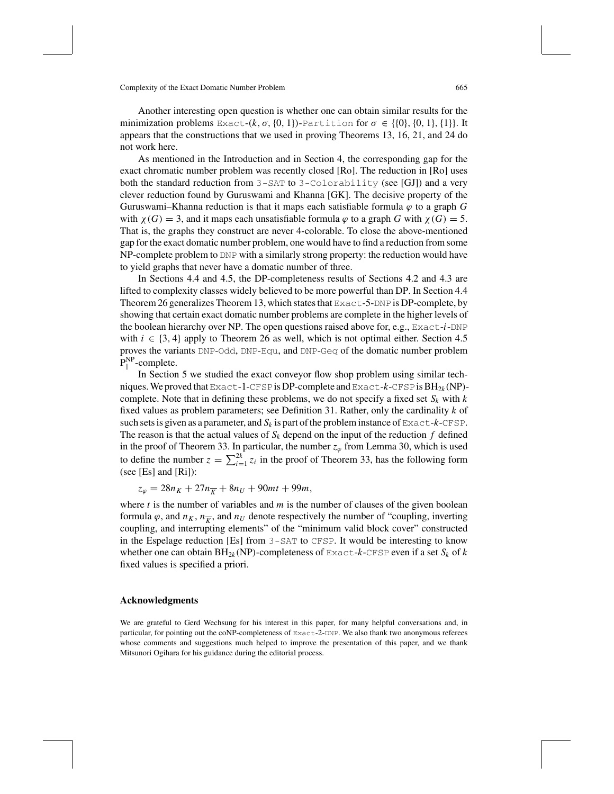Another interesting open question is whether one can obtain similar results for the minimization problems Exact- $(k, \sigma, \{0, 1\})$ -Partition for  $\sigma \in \{\{0\}, \{0, 1\}, \{1\}\}.$  It appears that the constructions that we used in proving Theorems 13, 16, 21, and 24 do not work here.

As mentioned in the Introduction and in Section 4, the corresponding gap for the exact chromatic number problem was recently closed [Ro]. The reduction in [Ro] uses both the standard reduction from 3-SAT to 3-Colorability (see [GJ]) and a very clever reduction found by Guruswami and Khanna [GK]. The decisive property of the Guruswami–Khanna reduction is that it maps each satisfiable formula  $\varphi$  to a graph *G* with  $\chi(G) = 3$ , and it maps each unsatisfiable formula  $\varphi$  to a graph *G* with  $\chi(G) = 5$ . That is, the graphs they construct are never 4-colorable. To close the above-mentioned gap for the exact domatic number problem, one would have to find a reduction from some NP-complete problem to DNP with a similarly strong property: the reduction would have to yield graphs that never have a domatic number of three.

In Sections 4.4 and 4.5, the DP-completeness results of Sections 4.2 and 4.3 are lifted to complexity classes widely believed to be more powerful than DP. In Section 4.4 Theorem 26 generalizes Theorem 13, which states that Exact-5-DNP is DP-complete, by showing that certain exact domatic number problems are complete in the higher levels of the boolean hierarchy over NP. The open questions raised above for, e.g., Exact-*i*-DNP with  $i \in \{3, 4\}$  apply to Theorem 26 as well, which is not optimal either. Section 4.5 proves the variants DNP-Odd, DNP-Equ, and DNP-Geq of the domatic number problem  $P_{\parallel}^{\text{NP}}$ -complete.

In Section 5 we studied the exact conveyor flow shop problem using similar techniques. We proved that  $\text{Exact-1-CFSP}$  is DP-complete and  $\text{Exact-}k$ -CFSP is  $\text{BH}_{2k}(\text{NP})$ complete. Note that in defining these problems, we do not specify a fixed set  $S_k$  with  $k$ fixed values as problem parameters; see Definition 31. Rather, only the cardinality *k* of such sets is given as a parameter, and  $S_k$  is part of the problem instance of Exact- $k$ -CFSP. The reason is that the actual values of  $S_k$  depend on the input of the reduction  $f$  defined in the proof of Theorem 33. In particular, the number  $z_{\varphi}$  from Lemma 30, which is used to define the number  $z = \sum_{i=1}^{2k} z_i$  in the proof of Theorem 33, has the following form (see [Es] and [Ri]):

$$
z_{\varphi} = 28n_K + 27n_{\overline{K}} + 8n_U + 90mt + 99m,
$$

where  $t$  is the number of variables and  $m$  is the number of clauses of the given boolean formula  $\varphi$ , and  $n_K$ ,  $n_{\overline{K}}$ , and  $n_U$  denote respectively the number of "coupling, inverting coupling, and interrupting elements" of the "minimum valid block cover" constructed in the Espelage reduction [Es] from 3-SAT to CFSP. It would be interesting to know whether one can obtain  $BH_{2k}(NP)$ -completeness of Exact- $k$ -CFSP even if a set  $S_k$  of  $k$ fixed values is specified a priori.

### **Acknowledgments**

We are grateful to Gerd Wechsung for his interest in this paper, for many helpful conversations and, in particular, for pointing out the coNP-completeness of Exact-2-DNP. We also thank two anonymous referees whose comments and suggestions much helped to improve the presentation of this paper, and we thank Mitsunori Ogihara for his guidance during the editorial process.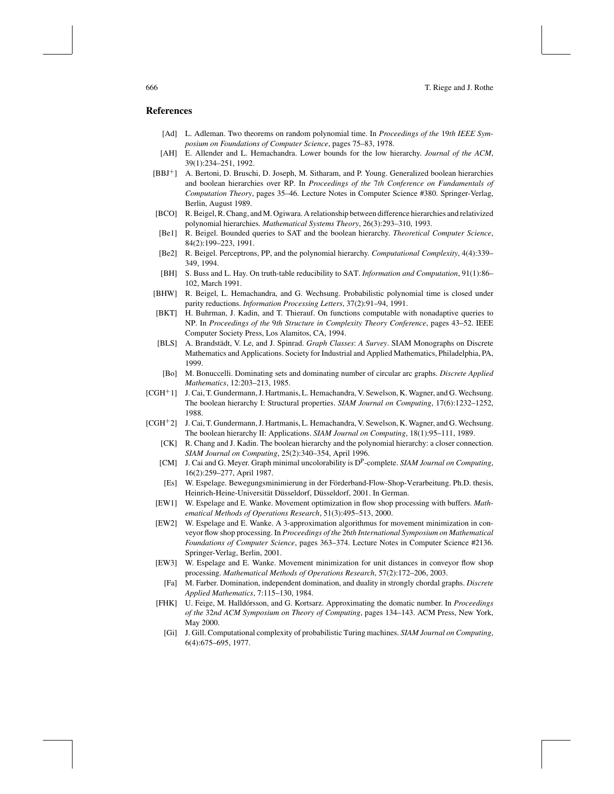# **References**

- [Ad] L. Adleman. Two theorems on random polynomial time. In *Proceedings of the* 19*th IEEE Symposium on Foundations of Computer Science*, pages 75–83, 1978.
- [AH] E. Allender and L. Hemachandra. Lower bounds for the low hierarchy. *Journal of the ACM*, 39(1):234–251, 1992.
- [BBJ+] A. Bertoni, D. Bruschi, D. Joseph, M. Sitharam, and P. Young. Generalized boolean hierarchies and boolean hierarchies over RP. In *Proceedings of the* 7*th Conference on Fundamentals of Computation Theory*, pages 35–46. Lecture Notes in Computer Science #380. Springer-Verlag, Berlin, August 1989.
- [BCO] R. Beigel, R. Chang, and M. Ogiwara. A relationship between difference hierarchies and relativized polynomial hierarchies. *Mathematical Systems Theory*, 26(3):293–310, 1993.
- [Be1] R. Beigel. Bounded queries to SAT and the boolean hierarchy. *Theoretical Computer Science*, 84(2):199–223, 1991.
- [Be2] R. Beigel. Perceptrons, PP, and the polynomial hierarchy. *Computational Complexity*, 4(4):339– 349, 1994.
- [BH] S. Buss and L. Hay. On truth-table reducibility to SAT. *Information and Computation*, 91(1):86– 102, March 1991.
- [BHW] R. Beigel, L. Hemachandra, and G. Wechsung. Probabilistic polynomial time is closed under parity reductions. *Information Processing Letters*, 37(2):91–94, 1991.
- [BKT] H. Buhrman, J. Kadin, and T. Thierauf. On functions computable with nonadaptive queries to NP. In *Proceedings of the* 9*th Structure in Complexity Theory Conference*, pages 43–52. IEEE Computer Society Press, Los Alamitos, CA, 1994.
- [BLS] A. Brandstädt, V. Le, and J. Spinrad. *Graph Classes: A Survey*. SIAM Monographs on Discrete Mathematics and Applications. Society for Industrial and Applied Mathematics, Philadelphia, PA, 1999.
- [Bo] M. Bonuccelli. Dominating sets and dominating number of circular arc graphs. *Discrete Applied Mathematics*, 12:203–213, 1985.
- [CGH+1] J. Cai, T. Gundermann, J. Hartmanis, L. Hemachandra, V. Sewelson, K. Wagner, and G. Wechsung. The boolean hierarchy I: Structural properties. *SIAM Journal on Computing*, 17(6):1232–1252, 1988.
- [CGH+2] J. Cai, T. Gundermann, J. Hartmanis, L. Hemachandra, V. Sewelson, K. Wagner, and G. Wechsung. The boolean hierarchy II: Applications. *SIAM Journal on Computing*, 18(1):95–111, 1989.
	- [CK] R. Chang and J. Kadin. The boolean hierarchy and the polynomial hierarchy: a closer connection. *SIAM Journal on Computing*, 25(2):340–354, April 1996.
	- [CM] J. Cai and G. Meyer. Graph minimal uncolorability is DP-complete. *SIAM Journal on Computing*, 16(2):259–277, April 1987.
	- [Es] W. Espelage. Bewegungsminimierung in der Förderband-Flow-Shop-Verarbeitung. Ph.D. thesis, Heinrich-Heine-Universität Düsseldorf, Düsseldorf, 2001. In German.
	- [EW1] W. Espelage and E. Wanke. Movement optimization in flow shop processing with buffers. *Mathematical Methods of Operations Research*, 51(3):495–513, 2000.
	- [EW2] W. Espelage and E. Wanke. A 3-approximation algorithmus for movement minimization in conveyor flow shop processing. In *Proceedings of the* 26*th International Symposium on Mathematical Foundations of Computer Science*, pages 363–374. Lecture Notes in Computer Science #2136. Springer-Verlag, Berlin, 2001.
	- [EW3] W. Espelage and E. Wanke. Movement minimization for unit distances in conveyor flow shop processing. *Mathematical Methods of Operations Research*, 57(2):172–206, 2003.
	- [Fa] M. Farber. Domination, independent domination, and duality in strongly chordal graphs. *Discrete Applied Mathematics*, 7:115–130, 1984.
	- [FHK] U. Feige, M. Halld´orsson, and G. Kortsarz. Approximating the domatic number. In *Proceedings of the* 32*nd ACM Symposium on Theory of Computing*, pages 134–143. ACM Press, New York, May 2000.
		- [Gi] J. Gill. Computational complexity of probabilistic Turing machines. *SIAM Journal on Computing*, 6(4):675–695, 1977.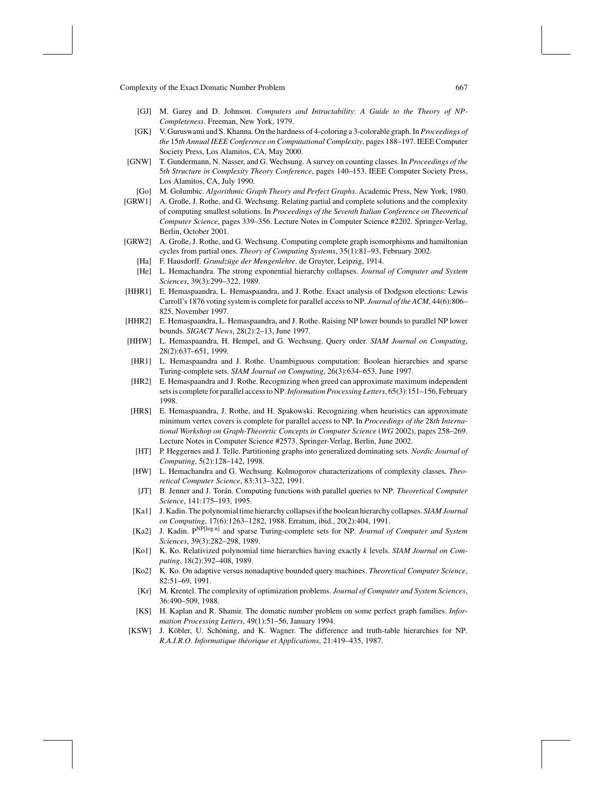- [GJ] M. Garey and D. Johnson. *Computers and Intractability*: *A Guide to the Theory of NP-Completeness*. Freeman, New York, 1979.
- [GK] V. Guruswami and S. Khanna. On the hardness of 4-coloring a 3-colorable graph. In *Proceedings of the* 15*th Annual IEEE Conference on Computational Complexity*, pages 188–197. IEEE Computer Society Press, Los Alamitos, CA, May 2000.
- [GNW] T. Gundermann, N. Nasser, and G. Wechsung. A survey on counting classes. In *Proceedings of the* 5*th Structure in Complexity Theory Conference*, pages 140–153. IEEE Computer Society Press, Los Alamitos, CA, July 1990.
- [Go] M. Golumbic. *Algorithmic Graph Theory and Perfect Graphs*. Academic Press, New York, 1980.
- [GRW1] A. Große, J. Rothe, and G. Wechsung. Relating partial and complete solutions and the complexity of computing smallest solutions. In *Proceedings of the Seventh Italian Conference on Theoretical Computer Science*, pages 339–356. Lecture Notes in Computer Science #2202. Springer-Verlag, Berlin, October 2001.
- [GRW2] A. Große, J. Rothe, and G. Wechsung. Computing complete graph isomorphisms and hamiltonian cycles from partial ones. *Theory of Computing Systems*, 35(1):81–93, February 2002.
	- [Ha] F. Hausdorff. *Grundzüge der Mengenlehre*. de Gruyter, Leipzig, 1914.
	- [He] L. Hemachandra. The strong exponential hierarchy collapses. *Journal of Computer and System Sciences*, 39(3):299–322, 1989.
- [HHR1] E. Hemaspaandra, L. Hemaspaandra, and J. Rothe. Exact analysis of Dodgson elections: Lewis Carroll's 1876 voting system is complete for parallel access to NP. *Journal of the ACM*, 44(6):806– 825, November 1997.
- [HHR2] E. Hemaspaandra, L. Hemaspaandra, and J. Rothe. Raising NP lower bounds to parallel NP lower bounds. *SIGACT News*, 28(2):2–13, June 1997.
- [HHW] L. Hemaspaandra, H. Hempel, and G. Wechsung. Query order. *SIAM Journal on Computing*, 28(2):637–651, 1999.
- [HR1] L. Hemaspaandra and J. Rothe. Unambiguous computation: Boolean hierarchies and sparse Turing-complete sets. *SIAM Journal on Computing*, 26(3):634–653, June 1997.
- [HR2] E. Hemaspaandra and J. Rothe. Recognizing when greed can approximate maximum independent sets is complete for parallel access to NP.*Information Processing Letters*, 65(3):151–156, February 1998.
- [HRS] E. Hemaspaandra, J. Rothe, and H. Spakowski. Recognizing when heuristics can approximate minimum vertex covers is complete for parallel access to NP. In *Proceedings of the* 28*th International Workshop on Graph-Theoretic Concepts in Computer Science* (*WG* 2002), pages 258–269. Lecture Notes in Computer Science #2573. Springer-Verlag, Berlin, June 2002.
- [HT] P. Heggernes and J. Telle. Partitioning graphs into generalized dominating sets. *Nordic Journal of Computing*, 5(2):128–142, 1998.
- [HW] L. Hemachandra and G. Wechsung. Kolmogorov characterizations of complexity classes. *Theoretical Computer Science*, 83:313–322, 1991.
- [JT] B. Jenner and J. Tor´an. Computing functions with parallel queries to NP. *Theoretical Computer Science*, 141:175–193, 1995.
- [Ka1] J. Kadin. The polynomial time hierarchy collapses if the boolean hierarchy collapses. *SIAM Journal on Computing*, 17(6):1263–1282, 1988. Erratum, ibid., 20(2):404, 1991.
- [Ka2] J. Kadin. PNP[log n] and sparse Turing-complete sets for NP. *Journal of Computer and System Sciences*, 39(3):282–298, 1989.
- [Ko1] K. Ko. Relativized polynomial time hierarchies having exactly *k* levels. *SIAM Journal on Computing*, 18(2):392–408, 1989.
- [Ko2] K. Ko. On adaptive versus nonadaptive bounded query machines. *Theoretical Computer Science*, 82:51–69, 1991.
- [Kr] M. Krentel. The complexity of optimization problems. *Journal of Computer and System Sciences*, 36:490–509, 1988.
- [KS] H. Kaplan and R. Shamir. The domatic number problem on some perfect graph families. *Information Processing Letters*, 49(1):51–56, January 1994.
- [KSW] J. Köbler, U. Schöning, and K. Wagner. The difference and truth-table hierarchies for NP. *R*.*A*.*I*.*R*.*O*. *Informatique theorique et Applications ´* , 21:419–435, 1987.